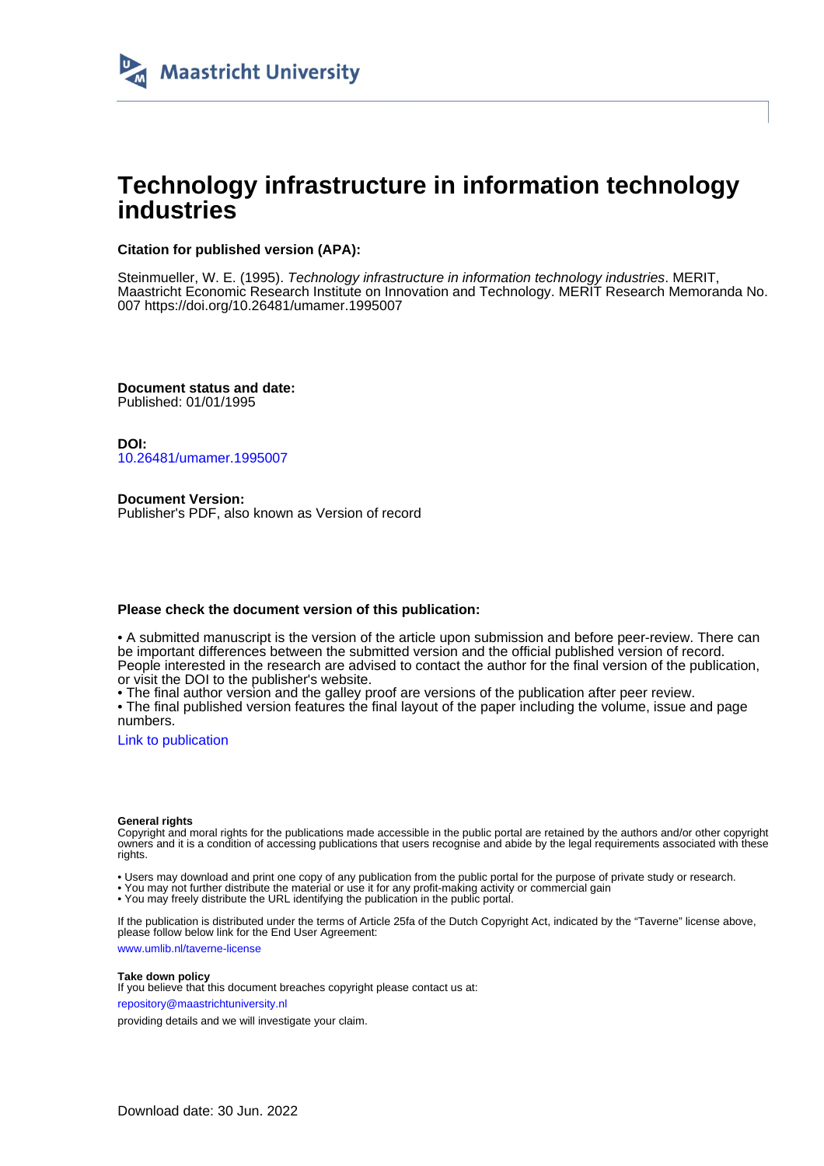

# **Technology infrastructure in information technology industries**

#### **Citation for published version (APA):**

Steinmueller, W. E. (1995). Technology infrastructure in information technology industries. MERIT, Maastricht Economic Research Institute on Innovation and Technology. MERIT Research Memoranda No. 007<https://doi.org/10.26481/umamer.1995007>

**Document status and date:** Published: 01/01/1995

**DOI:** [10.26481/umamer.1995007](https://doi.org/10.26481/umamer.1995007)

**Document Version:** Publisher's PDF, also known as Version of record

#### **Please check the document version of this publication:**

• A submitted manuscript is the version of the article upon submission and before peer-review. There can be important differences between the submitted version and the official published version of record. People interested in the research are advised to contact the author for the final version of the publication, or visit the DOI to the publisher's website.

• The final author version and the galley proof are versions of the publication after peer review.

• The final published version features the final layout of the paper including the volume, issue and page numbers.

[Link to publication](https://cris.maastrichtuniversity.nl/en/publications/fc5046d8-94fa-4e0b-8350-a7f666f725d3)

#### **General rights**

Copyright and moral rights for the publications made accessible in the public portal are retained by the authors and/or other copyright owners and it is a condition of accessing publications that users recognise and abide by the legal requirements associated with these rights.

• Users may download and print one copy of any publication from the public portal for the purpose of private study or research.

• You may not further distribute the material or use it for any profit-making activity or commercial gain

• You may freely distribute the URL identifying the publication in the public portal.

If the publication is distributed under the terms of Article 25fa of the Dutch Copyright Act, indicated by the "Taverne" license above, please follow below link for the End User Agreement:

www.umlib.nl/taverne-license

#### **Take down policy**

If you believe that this document breaches copyright please contact us at: repository@maastrichtuniversity.nl

providing details and we will investigate your claim.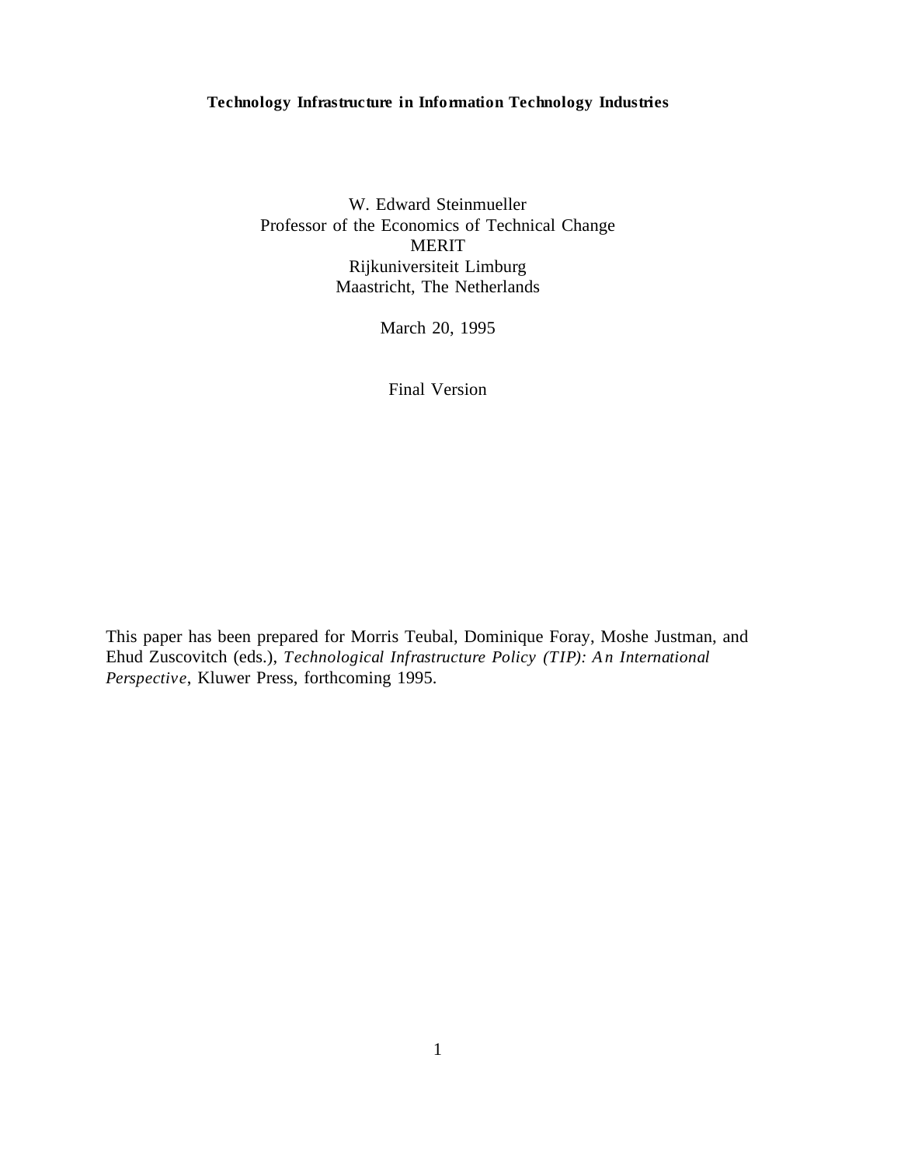#### **Technology Infrastructure in Information Technology Industries**

W. Edward Steinmueller Professor of the Economics of Technical Change MERIT Rijkuniversiteit Limburg Maastricht, The Netherlands

March 20, 1995

Final Version

This paper has been prepared for Morris Teubal, Dominique Foray, Moshe Justman, and Ehud Zuscovitch (eds.), *Technological Infrastructure Policy (TIP): A n International Perspective*, Kluwer Press, forthcoming 1995.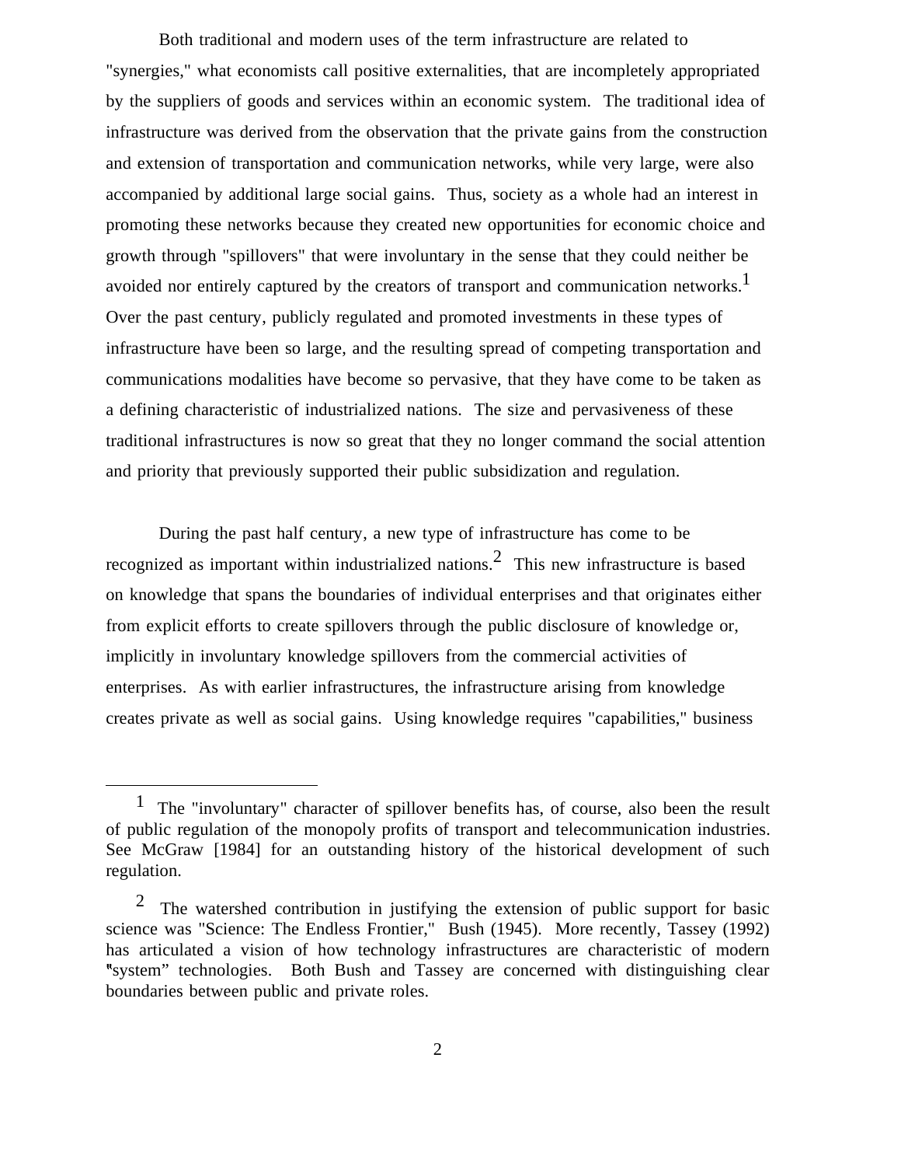Both traditional and modern uses of the term infrastructure are related to "synergies," what economists call positive externalities, that are incompletely appropriated by the suppliers of goods and services within an economic system. The traditional idea of infrastructure was derived from the observation that the private gains from the construction and extension of transportation and communication networks, while very large, were also accompanied by additional large social gains. Thus, society as a whole had an interest in promoting these networks because they created new opportunities for economic choice and growth through "spillovers" that were involuntary in the sense that they could neither be avoided nor entirely captured by the creators of transport and communication networks.<sup>1</sup> Over the past century, publicly regulated and promoted investments in these types of infrastructure have been so large, and the resulting spread of competing transportation and communications modalities have become so pervasive, that they have come to be taken as a defining characteristic of industrialized nations. The size and pervasiveness of these traditional infrastructures is now so great that they no longer command the social attention and priority that previously supported their public subsidization and regulation.

During the past half century, a new type of infrastructure has come to be recognized as important within industrialized nations.2 This new infrastructure is based on knowledge that spans the boundaries of individual enterprises and that originates either from explicit efforts to create spillovers through the public disclosure of knowledge or, implicitly in involuntary knowledge spillovers from the commercial activities of enterprises. As with earlier infrastructures, the infrastructure arising from knowledge creates private as well as social gains. Using knowledge requires "capabilities," business

<sup>&</sup>lt;sup>1</sup> The "involuntary" character of spillover benefits has, of course, also been the result of public regulation of the monopoly profits of transport and telecommunication industries. See McGraw [1984] for an outstanding history of the historical development of such regulation.

2 The watershed contribution in justifying the extension of public support for basic science was "Science: The Endless Frontier," Bush (1945). More recently, Tassey (1992) has articulated a vision of how technology infrastructures are characteristic of modern system" technologies. Both Bush and Tassey are concerned with distinguishing clear boundaries between public and private roles.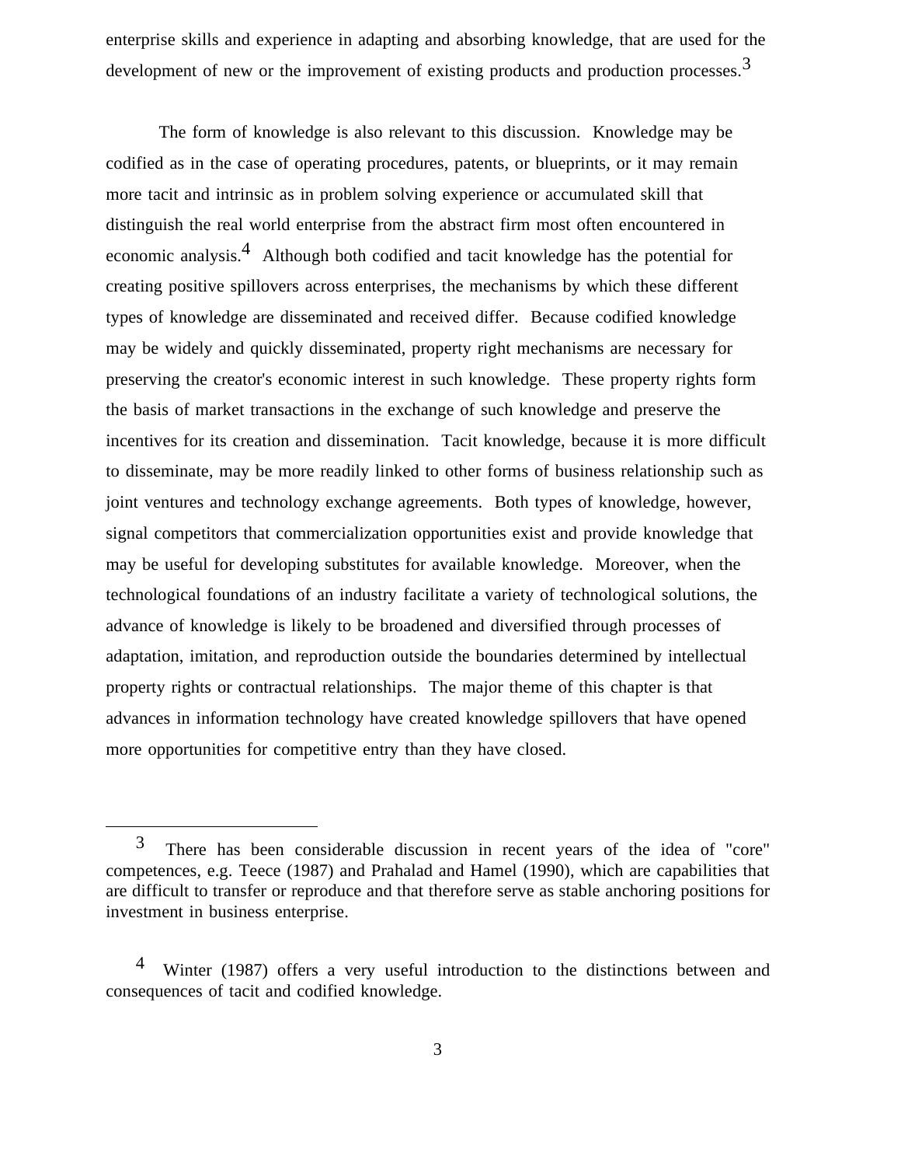enterprise skills and experience in adapting and absorbing knowledge, that are used for the development of new or the improvement of existing products and production processes.  $3$ 

The form of knowledge is also relevant to this discussion. Knowledge may be codified as in the case of operating procedures, patents, or blueprints, or it may remain more tacit and intrinsic as in problem solving experience or accumulated skill that distinguish the real world enterprise from the abstract firm most often encountered in economic analysis.4 Although both codified and tacit knowledge has the potential for creating positive spillovers across enterprises, the mechanisms by which these different types of knowledge are disseminated and received differ. Because codified knowledge may be widely and quickly disseminated, property right mechanisms are necessary for preserving the creator's economic interest in such knowledge. These property rights form the basis of market transactions in the exchange of such knowledge and preserve the incentives for its creation and dissemination. Tacit knowledge, because it is more difficult to disseminate, may be more readily linked to other forms of business relationship such as joint ventures and technology exchange agreements. Both types of knowledge, however, signal competitors that commercialization opportunities exist and provide knowledge that may be useful for developing substitutes for available knowledge. Moreover, when the technological foundations of an industry facilitate a variety of technological solutions, the advance of knowledge is likely to be broadened and diversified through processes of adaptation, imitation, and reproduction outside the boundaries determined by intellectual property rights or contractual relationships. The major theme of this chapter is that advances in information technology have created knowledge spillovers that have opened more opportunities for competitive entry than they have closed.

3 There has been considerable discussion in recent years of the idea of "core" competences, e.g. Teece (1987) and Prahalad and Hamel (1990), which are capabilities that are difficult to transfer or reproduce and that therefore serve as stable anchoring positions for investment in business enterprise.

<sup>&</sup>lt;sup>4</sup> Winter (1987) offers a very useful introduction to the distinctions between and consequences of tacit and codified knowledge.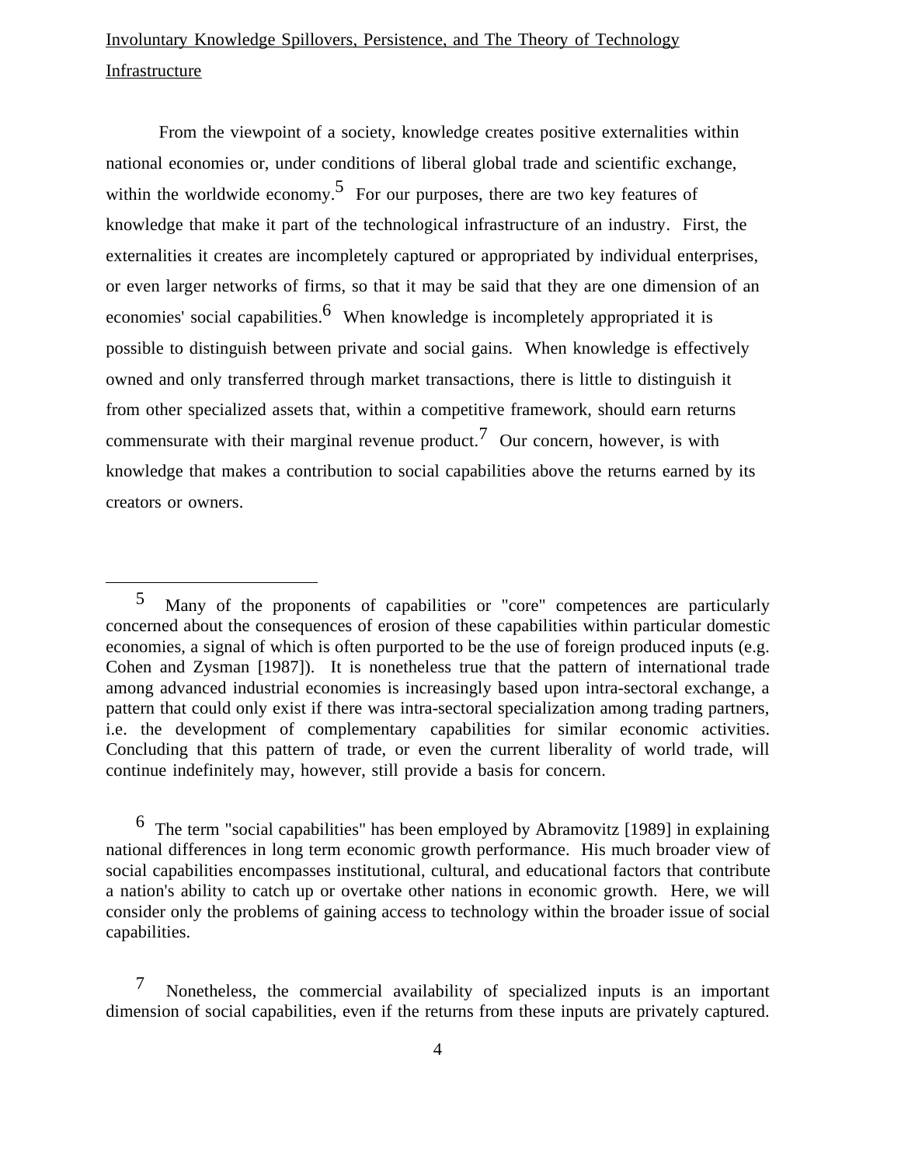## Involuntary Knowledge Spillovers, Persistence, and The Theory of Technology Infrastructure

From the viewpoint of a society, knowledge creates positive externalities within national economies or, under conditions of liberal global trade and scientific exchange, within the worldwide economy.<sup>5</sup> For our purposes, there are two key features of knowledge that make it part of the technological infrastructure of an industry. First, the externalities it creates are incompletely captured or appropriated by individual enterprises, or even larger networks of firms, so that it may be said that they are one dimension of an economies' social capabilities.<sup>6</sup> When knowledge is incompletely appropriated it is possible to distinguish between private and social gains. When knowledge is effectively owned and only transferred through market transactions, there is little to distinguish it from other specialized assets that, within a competitive framework, should earn returns commensurate with their marginal revenue product.<sup>7</sup> Our concern, however, is with knowledge that makes a contribution to social capabilities above the returns earned by its creators or owners.

 $\overline{a}$ 

 6 The term "social capabilities" has been employed by Abramovitz [1989] in explaining national differences in long term economic growth performance. His much broader view of social capabilities encompasses institutional, cultural, and educational factors that contribute a nation's ability to catch up or overtake other nations in economic growth. Here, we will consider only the problems of gaining access to technology within the broader issue of social capabilities.

 7 Nonetheless, the commercial availability of specialized inputs is an important dimension of social capabilities, even if the returns from these inputs are privately captured.

5 Many of the proponents of capabilities or "core" competences are particularly concerned about the consequences of erosion of these capabilities within particular domestic economies, a signal of which is often purported to be the use of foreign produced inputs (e.g. Cohen and Zysman [1987]). It is nonetheless true that the pattern of international trade among advanced industrial economies is increasingly based upon intra-sectoral exchange, a pattern that could only exist if there was intra-sectoral specialization among trading partners, i.e. the development of complementary capabilities for similar economic activities. Concluding that this pattern of trade, or even the current liberality of world trade, will continue indefinitely may, however, still provide a basis for concern.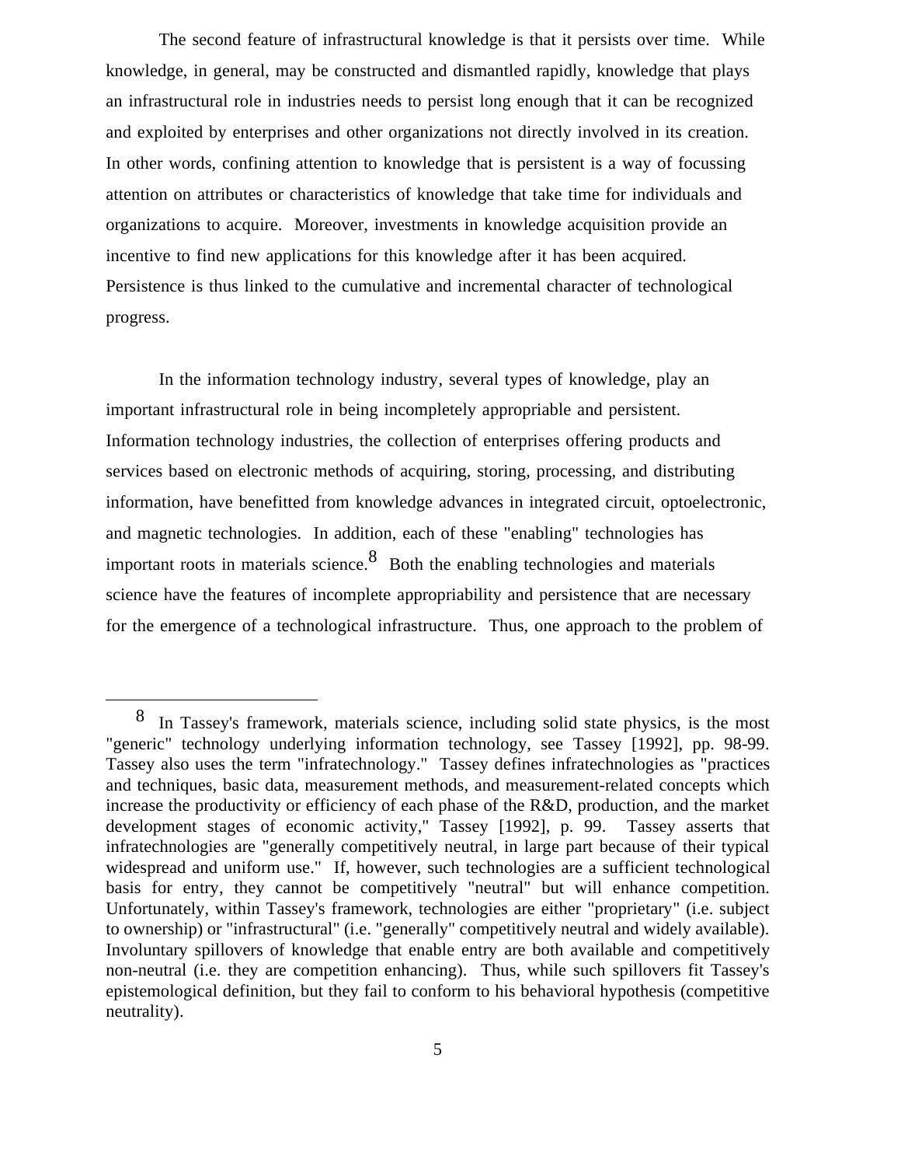The second feature of infrastructural knowledge is that it persists over time. While knowledge, in general, may be constructed and dismantled rapidly, knowledge that plays an infrastructural role in industries needs to persist long enough that it can be recognized and exploited by enterprises and other organizations not directly involved in its creation. In other words, confining attention to knowledge that is persistent is a way of focussing attention on attributes or characteristics of knowledge that take time for individuals and organizations to acquire. Moreover, investments in knowledge acquisition provide an incentive to find new applications for this knowledge after it has been acquired. Persistence is thus linked to the cumulative and incremental character of technological progress.

In the information technology industry, several types of knowledge, play an important infrastructural role in being incompletely appropriable and persistent. Information technology industries, the collection of enterprises offering products and services based on electronic methods of acquiring, storing, processing, and distributing information, have benefitted from knowledge advances in integrated circuit, optoelectronic, and magnetic technologies. In addition, each of these "enabling" technologies has important roots in materials science.<sup>8</sup> Both the enabling technologies and materials science have the features of incomplete appropriability and persistence that are necessary for the emergence of a technological infrastructure. Thus, one approach to the problem of

8 In Tassey's framework, materials science, including solid state physics, is the most "generic" technology underlying information technology, see Tassey [1992], pp. 98-99. Tassey also uses the term "infratechnology." Tassey defines infratechnologies as "practices and techniques, basic data, measurement methods, and measurement-related concepts which increase the productivity or efficiency of each phase of the R&D, production, and the market development stages of economic activity," Tassey [1992], p. 99. Tassey asserts that infratechnologies are "generally competitively neutral, in large part because of their typical widespread and uniform use." If, however, such technologies are a sufficient technological basis for entry, they cannot be competitively "neutral" but will enhance competition. Unfortunately, within Tassey's framework, technologies are either "proprietary" (i.e. subject to ownership) or "infrastructural" (i.e. "generally" competitively neutral and widely available). Involuntary spillovers of knowledge that enable entry are both available and competitively non-neutral (i.e. they are competition enhancing). Thus, while such spillovers fit Tassey's epistemological definition, but they fail to conform to his behavioral hypothesis (competitive neutrality).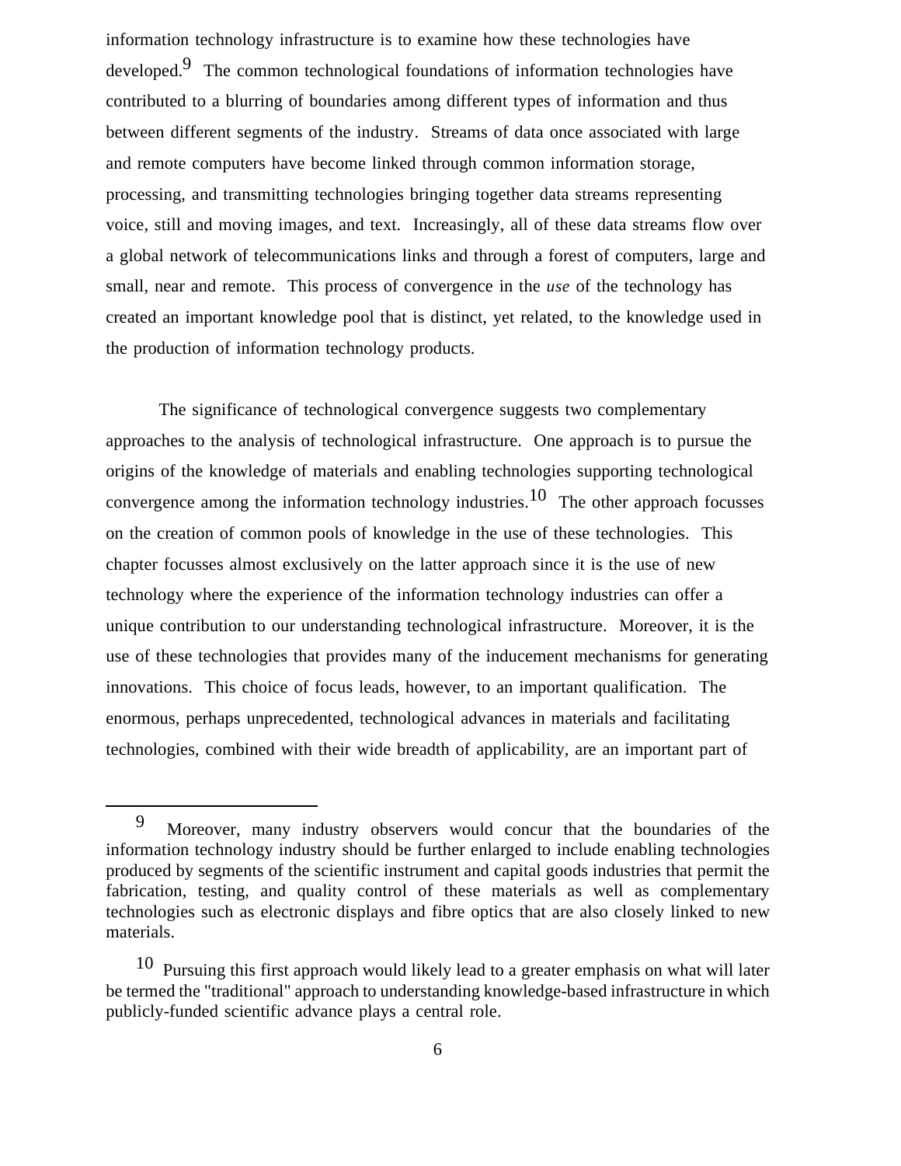information technology infrastructure is to examine how these technologies have developed.9 The common technological foundations of information technologies have contributed to a blurring of boundaries among different types of information and thus between different segments of the industry. Streams of data once associated with large and remote computers have become linked through common information storage, processing, and transmitting technologies bringing together data streams representing voice, still and moving images, and text. Increasingly, all of these data streams flow over a global network of telecommunications links and through a forest of computers, large and small, near and remote. This process of convergence in the *use* of the technology has created an important knowledge pool that is distinct, yet related, to the knowledge used in the production of information technology products.

The significance of technological convergence suggests two complementary approaches to the analysis of technological infrastructure. One approach is to pursue the origins of the knowledge of materials and enabling technologies supporting technological convergence among the information technology industries.<sup>10</sup> The other approach focusses on the creation of common pools of knowledge in the use of these technologies. This chapter focusses almost exclusively on the latter approach since it is the use of new technology where the experience of the information technology industries can offer a unique contribution to our understanding technological infrastructure. Moreover, it is the use of these technologies that provides many of the inducement mechanisms for generating innovations. This choice of focus leads, however, to an important qualification. The enormous, perhaps unprecedented, technological advances in materials and facilitating technologies, combined with their wide breadth of applicability, are an important part of

9 Moreover, many industry observers would concur that the boundaries of the information technology industry should be further enlarged to include enabling technologies produced by segments of the scientific instrument and capital goods industries that permit the fabrication, testing, and quality control of these materials as well as complementary technologies such as electronic displays and fibre optics that are also closely linked to new materials.

10 Pursuing this first approach would likely lead to a greater emphasis on what will later be termed the "traditional" approach to understanding knowledge-based infrastructure in which publicly-funded scientific advance plays a central role.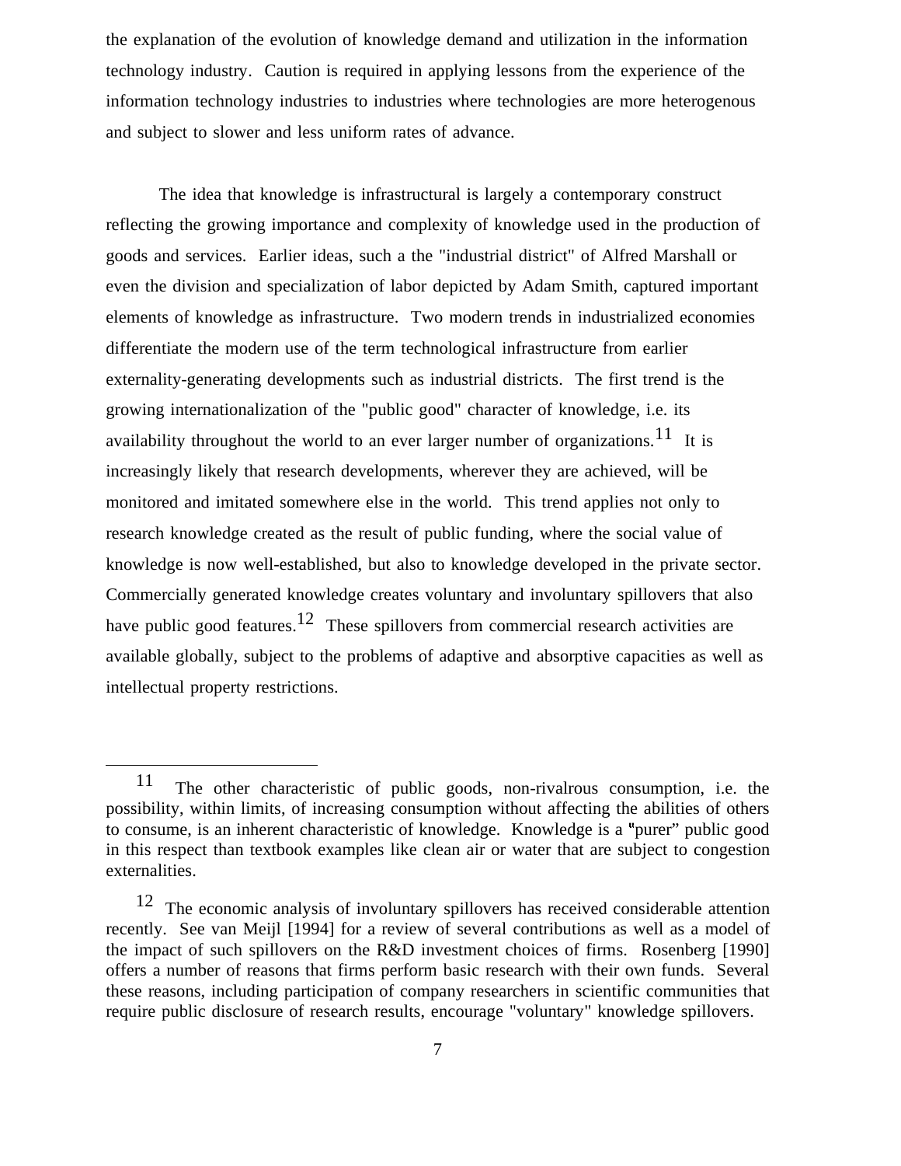the explanation of the evolution of knowledge demand and utilization in the information technology industry. Caution is required in applying lessons from the experience of the information technology industries to industries where technologies are more heterogenous and subject to slower and less uniform rates of advance.

The idea that knowledge is infrastructural is largely a contemporary construct reflecting the growing importance and complexity of knowledge used in the production of goods and services. Earlier ideas, such a the "industrial district" of Alfred Marshall or even the division and specialization of labor depicted by Adam Smith, captured important elements of knowledge as infrastructure. Two modern trends in industrialized economies differentiate the modern use of the term technological infrastructure from earlier externality-generating developments such as industrial districts. The first trend is the growing internationalization of the "public good" character of knowledge, i.e. its availability throughout the world to an ever larger number of organizations.<sup>11</sup> It is increasingly likely that research developments, wherever they are achieved, will be monitored and imitated somewhere else in the world. This trend applies not only to research knowledge created as the result of public funding, where the social value of knowledge is now well-established, but also to knowledge developed in the private sector. Commercially generated knowledge creates voluntary and involuntary spillovers that also have public good features.<sup>12</sup> These spillovers from commercial research activities are available globally, subject to the problems of adaptive and absorptive capacities as well as intellectual property restrictions.

11 The other characteristic of public goods, non-rivalrous consumption, i.e. the possibility, within limits, of increasing consumption without affecting the abilities of others to consume, is an inherent characteristic of knowledge. Knowledge is a "purer" public good in this respect than textbook examples like clean air or water that are subject to congestion externalities.

12 The economic analysis of involuntary spillovers has received considerable attention recently. See van Meijl [1994] for a review of several contributions as well as a model of the impact of such spillovers on the R&D investment choices of firms. Rosenberg [1990] offers a number of reasons that firms perform basic research with their own funds. Several these reasons, including participation of company researchers in scientific communities that require public disclosure of research results, encourage "voluntary" knowledge spillovers.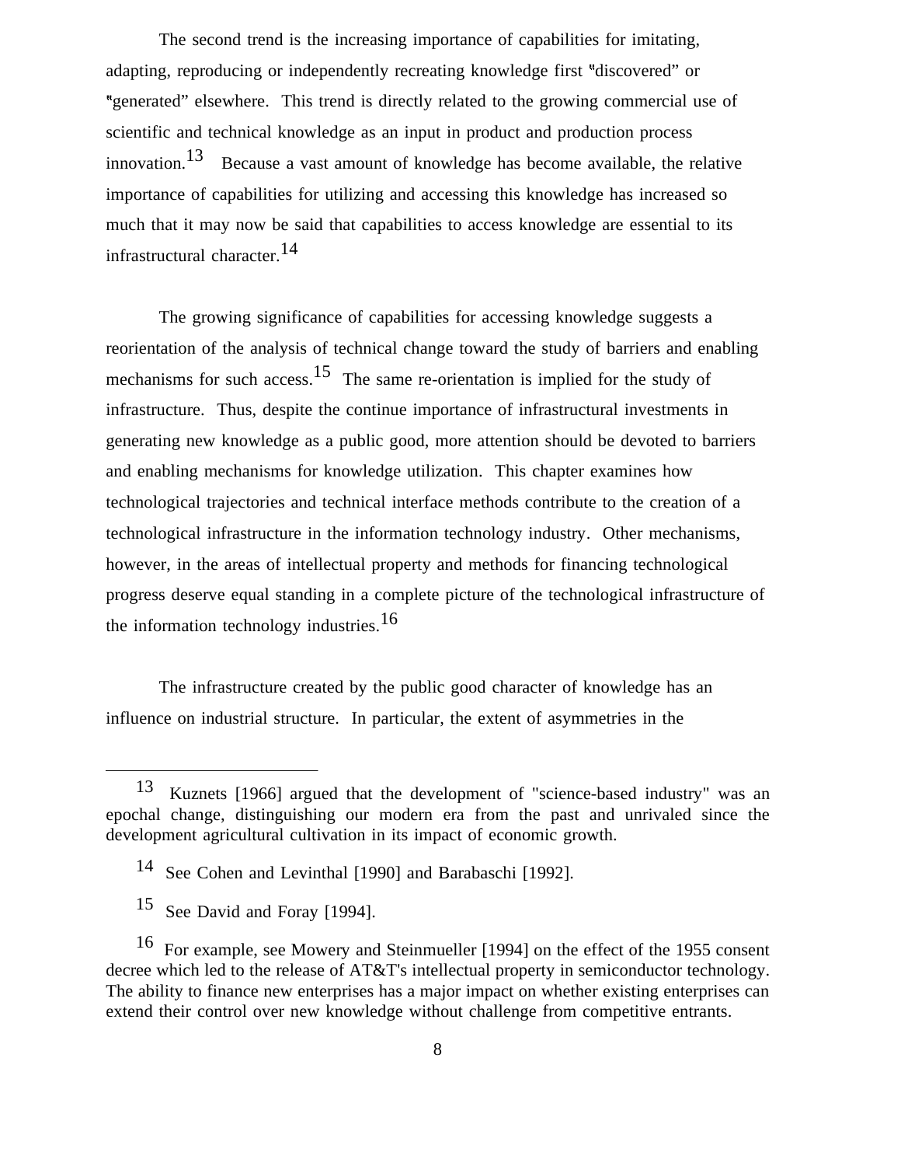The second trend is the increasing importance of capabilities for imitating, adapting, reproducing or independently recreating knowledge first "discovered" or generated" elsewhere. This trend is directly related to the growing commercial use of scientific and technical knowledge as an input in product and production process innovation.<sup>13</sup> Because a vast amount of knowledge has become available, the relative importance of capabilities for utilizing and accessing this knowledge has increased so much that it may now be said that capabilities to access knowledge are essential to its infrastructural character.14

The growing significance of capabilities for accessing knowledge suggests a reorientation of the analysis of technical change toward the study of barriers and enabling mechanisms for such access.<sup>15</sup> The same re-orientation is implied for the study of infrastructure. Thus, despite the continue importance of infrastructural investments in generating new knowledge as a public good, more attention should be devoted to barriers and enabling mechanisms for knowledge utilization. This chapter examines how technological trajectories and technical interface methods contribute to the creation of a technological infrastructure in the information technology industry. Other mechanisms, however, in the areas of intellectual property and methods for financing technological progress deserve equal standing in a complete picture of the technological infrastructure of the information technology industries.<sup>16</sup>

The infrastructure created by the public good character of knowledge has an influence on industrial structure. In particular, the extent of asymmetries in the

13 Kuznets [1966] argued that the development of "science-based industry" was an epochal change, distinguishing our modern era from the past and unrivaled since the development agricultural cultivation in its impact of economic growth.

14 See Cohen and Levinthal [1990] and Barabaschi [1992].

15 See David and Foray [1994].

16 For example, see Mowery and Steinmueller [1994] on the effect of the 1955 consent decree which led to the release of AT&T's intellectual property in semiconductor technology. The ability to finance new enterprises has a major impact on whether existing enterprises can extend their control over new knowledge without challenge from competitive entrants.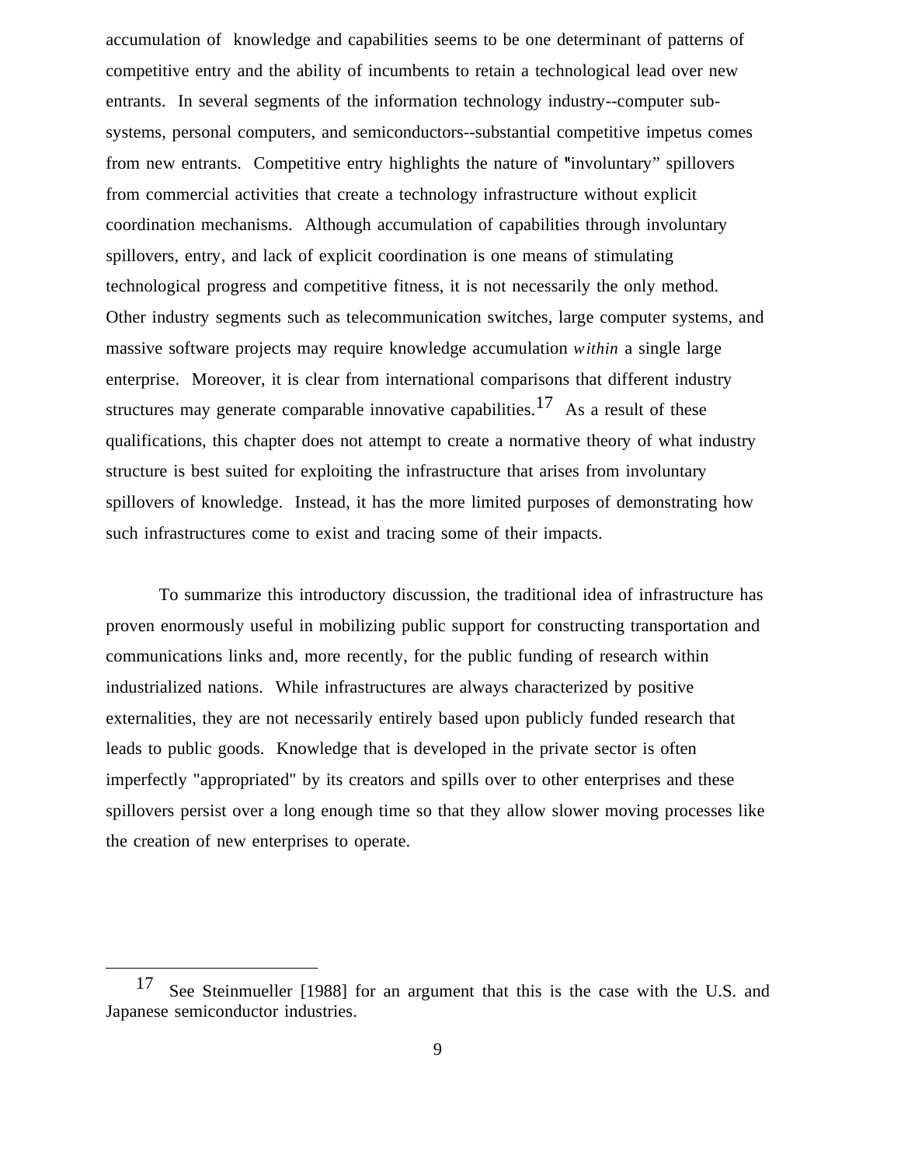accumulation of knowledge and capabilities seems to be one determinant of patterns of competitive entry and the ability of incumbents to retain a technological lead over new entrants. In several segments of the information technology industry--computer subsystems, personal computers, and semiconductors--substantial competitive impetus comes from new entrants. Competitive entry highlights the nature of "involuntary" spillovers from commercial activities that create a technology infrastructure without explicit coordination mechanisms. Although accumulation of capabilities through involuntary spillovers, entry, and lack of explicit coordination is one means of stimulating technological progress and competitive fitness, it is not necessarily the only method. Other industry segments such as telecommunication switches, large computer systems, and massive software projects may require knowledge accumulation *within* a single large enterprise. Moreover, it is clear from international comparisons that different industry structures may generate comparable innovative capabilities.<sup>17</sup> As a result of these qualifications, this chapter does not attempt to create a normative theory of what industry structure is best suited for exploiting the infrastructure that arises from involuntary spillovers of knowledge. Instead, it has the more limited purposes of demonstrating how such infrastructures come to exist and tracing some of their impacts.

To summarize this introductory discussion, the traditional idea of infrastructure has proven enormously useful in mobilizing public support for constructing transportation and communications links and, more recently, for the public funding of research within industrialized nations. While infrastructures are always characterized by positive externalities, they are not necessarily entirely based upon publicly funded research that leads to public goods. Knowledge that is developed in the private sector is often imperfectly "appropriated" by its creators and spills over to other enterprises and these spillovers persist over a long enough time so that they allow slower moving processes like the creation of new enterprises to operate.

17 See Steinmueller [1988] for an argument that this is the case with the U.S. and Japanese semiconductor industries.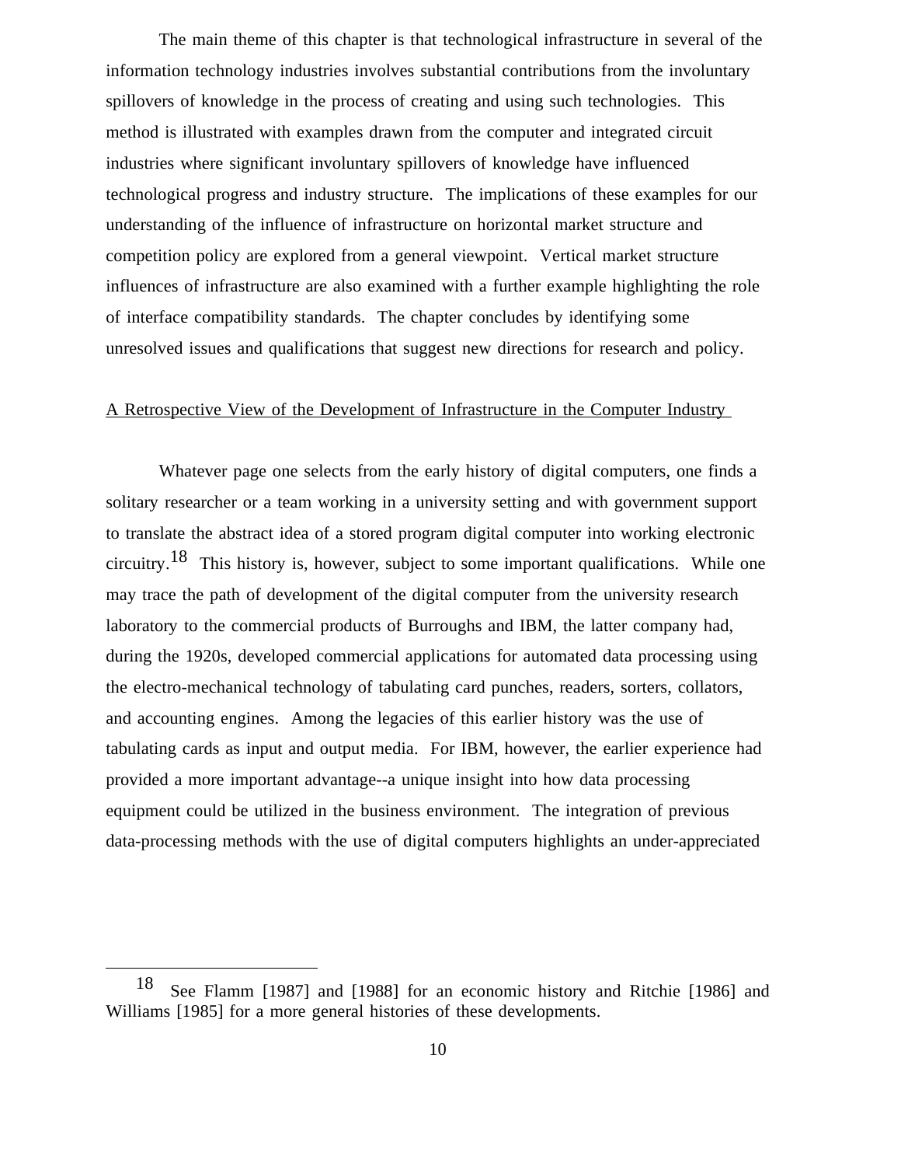The main theme of this chapter is that technological infrastructure in several of the information technology industries involves substantial contributions from the involuntary spillovers of knowledge in the process of creating and using such technologies. This method is illustrated with examples drawn from the computer and integrated circuit industries where significant involuntary spillovers of knowledge have influenced technological progress and industry structure. The implications of these examples for our understanding of the influence of infrastructure on horizontal market structure and competition policy are explored from a general viewpoint. Vertical market structure influences of infrastructure are also examined with a further example highlighting the role of interface compatibility standards. The chapter concludes by identifying some unresolved issues and qualifications that suggest new directions for research and policy.

## A Retrospective View of the Development of Infrastructure in the Computer Industry

Whatever page one selects from the early history of digital computers, one finds a solitary researcher or a team working in a university setting and with government support to translate the abstract idea of a stored program digital computer into working electronic circuitry.<sup>18</sup> This history is, however, subject to some important qualifications. While one may trace the path of development of the digital computer from the university research laboratory to the commercial products of Burroughs and IBM, the latter company had, during the 1920s, developed commercial applications for automated data processing using the electro-mechanical technology of tabulating card punches, readers, sorters, collators, and accounting engines. Among the legacies of this earlier history was the use of tabulating cards as input and output media. For IBM, however, the earlier experience had provided a more important advantage--a unique insight into how data processing equipment could be utilized in the business environment. The integration of previous data-processing methods with the use of digital computers highlights an under-appreciated

18 See Flamm [1987] and [1988] for an economic history and Ritchie [1986] and Williams [1985] for a more general histories of these developments.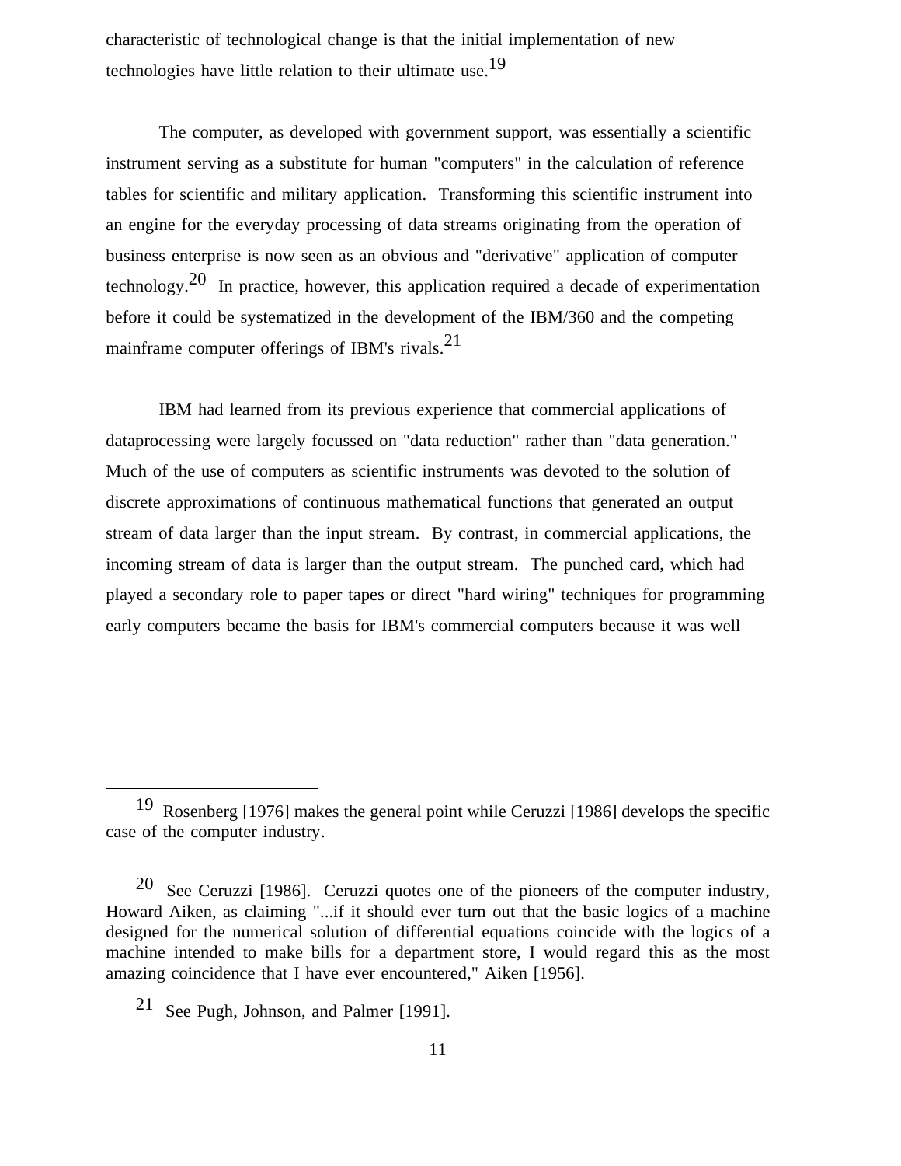characteristic of technological change is that the initial implementation of new technologies have little relation to their ultimate use.19

The computer, as developed with government support, was essentially a scientific instrument serving as a substitute for human "computers" in the calculation of reference tables for scientific and military application. Transforming this scientific instrument into an engine for the everyday processing of data streams originating from the operation of business enterprise is now seen as an obvious and "derivative" application of computer technology.<sup>20</sup> In practice, however, this application required a decade of experimentation before it could be systematized in the development of the IBM/360 and the competing mainframe computer offerings of IBM's rivals.21

IBM had learned from its previous experience that commercial applications of dataprocessing were largely focussed on "data reduction" rather than "data generation." Much of the use of computers as scientific instruments was devoted to the solution of discrete approximations of continuous mathematical functions that generated an output stream of data larger than the input stream. By contrast, in commercial applications, the incoming stream of data is larger than the output stream. The punched card, which had played a secondary role to paper tapes or direct "hard wiring" techniques for programming early computers became the basis for IBM's commercial computers because it was well

19 Rosenberg [1976] makes the general point while Ceruzzi [1986] develops the specific case of the computer industry.

20 See Ceruzzi [1986]. Ceruzzi quotes one of the pioneers of the computer industry, Howard Aiken, as claiming "...if it should ever turn out that the basic logics of a machine designed for the numerical solution of differential equations coincide with the logics of a machine intended to make bills for a department store, I would regard this as the most amazing coincidence that I have ever encountered," Aiken [1956].

21 See Pugh, Johnson, and Palmer [1991].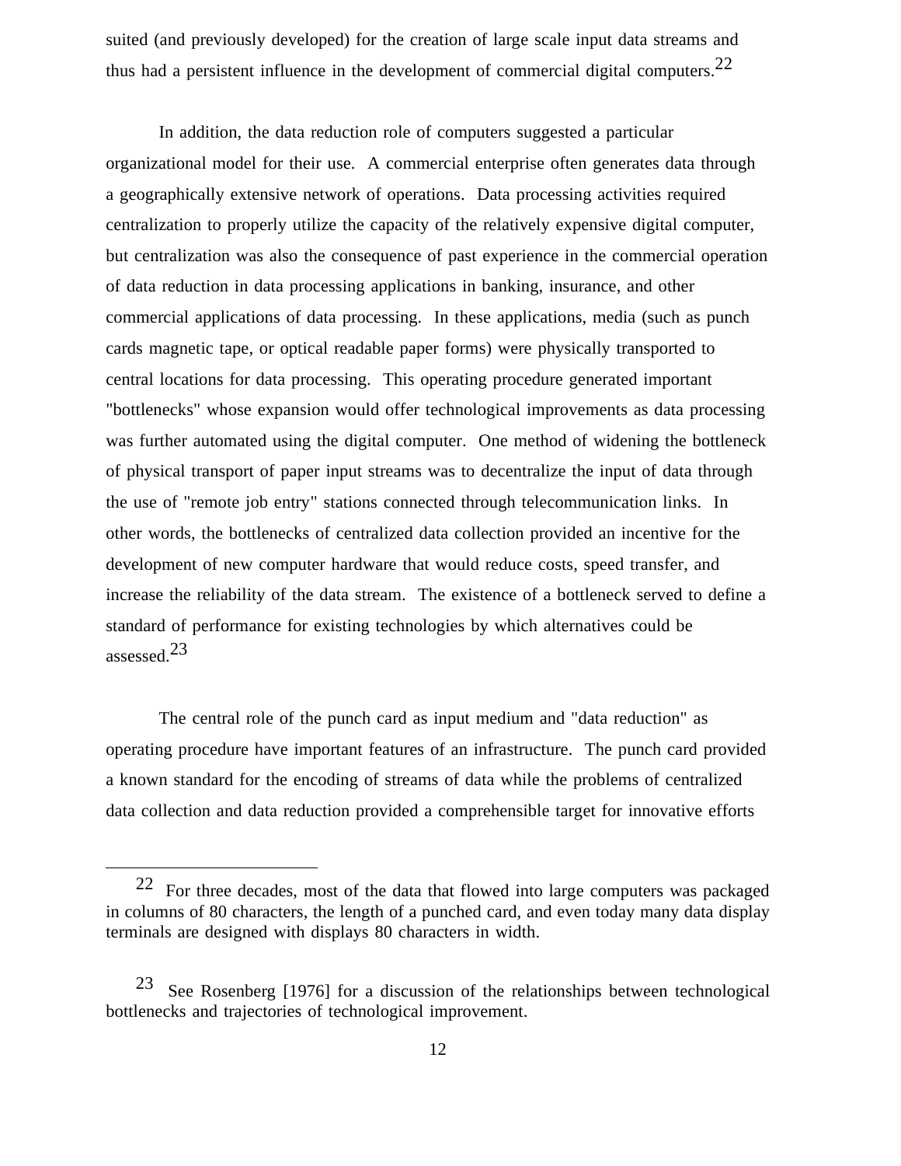suited (and previously developed) for the creation of large scale input data streams and thus had a persistent influence in the development of commercial digital computers.22

In addition, the data reduction role of computers suggested a particular organizational model for their use. A commercial enterprise often generates data through a geographically extensive network of operations. Data processing activities required centralization to properly utilize the capacity of the relatively expensive digital computer, but centralization was also the consequence of past experience in the commercial operation of data reduction in data processing applications in banking, insurance, and other commercial applications of data processing. In these applications, media (such as punch cards magnetic tape, or optical readable paper forms) were physically transported to central locations for data processing. This operating procedure generated important "bottlenecks" whose expansion would offer technological improvements as data processing was further automated using the digital computer. One method of widening the bottleneck of physical transport of paper input streams was to decentralize the input of data through the use of "remote job entry" stations connected through telecommunication links. In other words, the bottlenecks of centralized data collection provided an incentive for the development of new computer hardware that would reduce costs, speed transfer, and increase the reliability of the data stream. The existence of a bottleneck served to define a standard of performance for existing technologies by which alternatives could be assessed.23

The central role of the punch card as input medium and "data reduction" as operating procedure have important features of an infrastructure. The punch card provided a known standard for the encoding of streams of data while the problems of centralized data collection and data reduction provided a comprehensible target for innovative efforts

22 For three decades, most of the data that flowed into large computers was packaged in columns of 80 characters, the length of a punched card, and even today many data display terminals are designed with displays 80 characters in width.

23 See Rosenberg [1976] for a discussion of the relationships between technological bottlenecks and trajectories of technological improvement.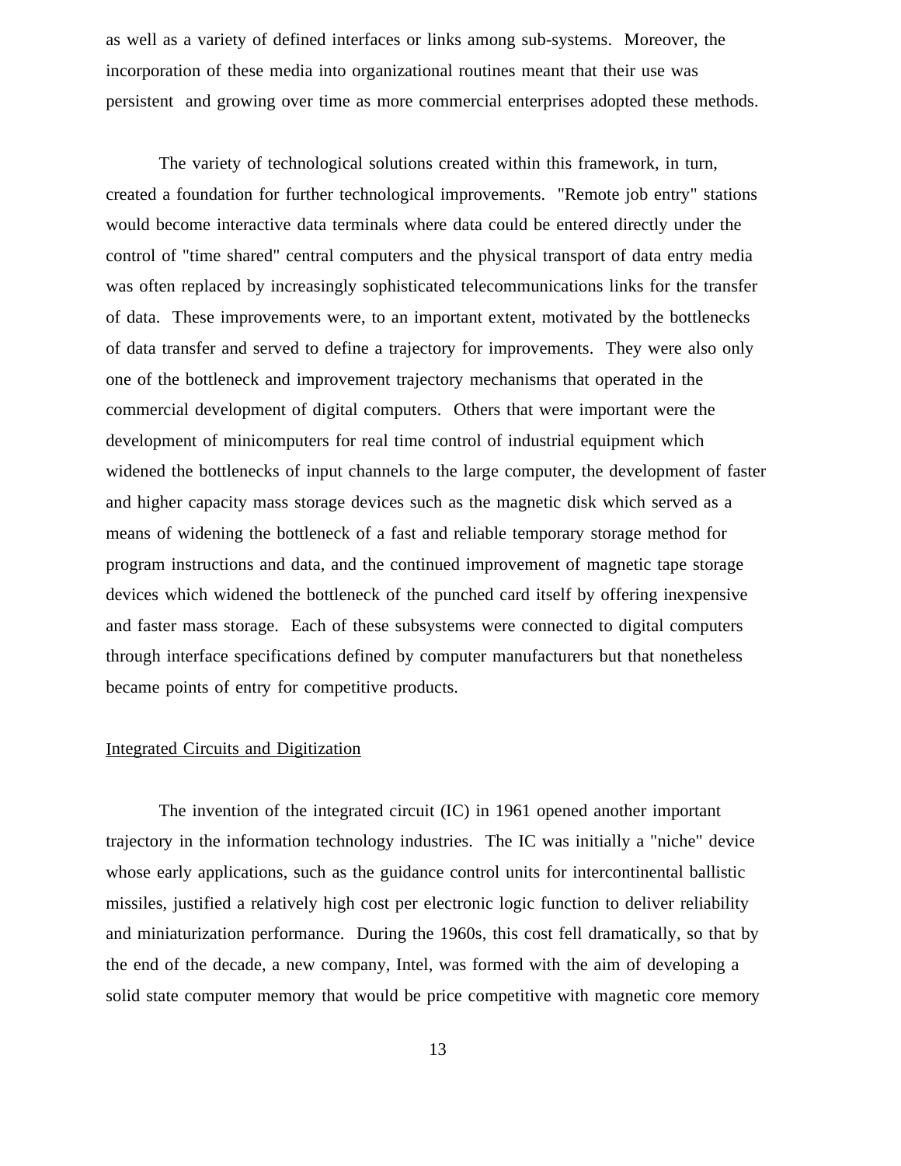as well as a variety of defined interfaces or links among sub-systems. Moreover, the incorporation of these media into organizational routines meant that their use was persistent and growing over time as more commercial enterprises adopted these methods.

The variety of technological solutions created within this framework, in turn, created a foundation for further technological improvements. "Remote job entry" stations would become interactive data terminals where data could be entered directly under the control of "time shared" central computers and the physical transport of data entry media was often replaced by increasingly sophisticated telecommunications links for the transfer of data. These improvements were, to an important extent, motivated by the bottlenecks of data transfer and served to define a trajectory for improvements. They were also only one of the bottleneck and improvement trajectory mechanisms that operated in the commercial development of digital computers. Others that were important were the development of minicomputers for real time control of industrial equipment which widened the bottlenecks of input channels to the large computer, the development of faster and higher capacity mass storage devices such as the magnetic disk which served as a means of widening the bottleneck of a fast and reliable temporary storage method for program instructions and data, and the continued improvement of magnetic tape storage devices which widened the bottleneck of the punched card itself by offering inexpensive and faster mass storage. Each of these subsystems were connected to digital computers through interface specifications defined by computer manufacturers but that nonetheless became points of entry for competitive products.

#### Integrated Circuits and Digitization

The invention of the integrated circuit (IC) in 1961 opened another important trajectory in the information technology industries. The IC was initially a "niche" device whose early applications, such as the guidance control units for intercontinental ballistic missiles, justified a relatively high cost per electronic logic function to deliver reliability and miniaturization performance. During the 1960s, this cost fell dramatically, so that by the end of the decade, a new company, Intel, was formed with the aim of developing a solid state computer memory that would be price competitive with magnetic core memory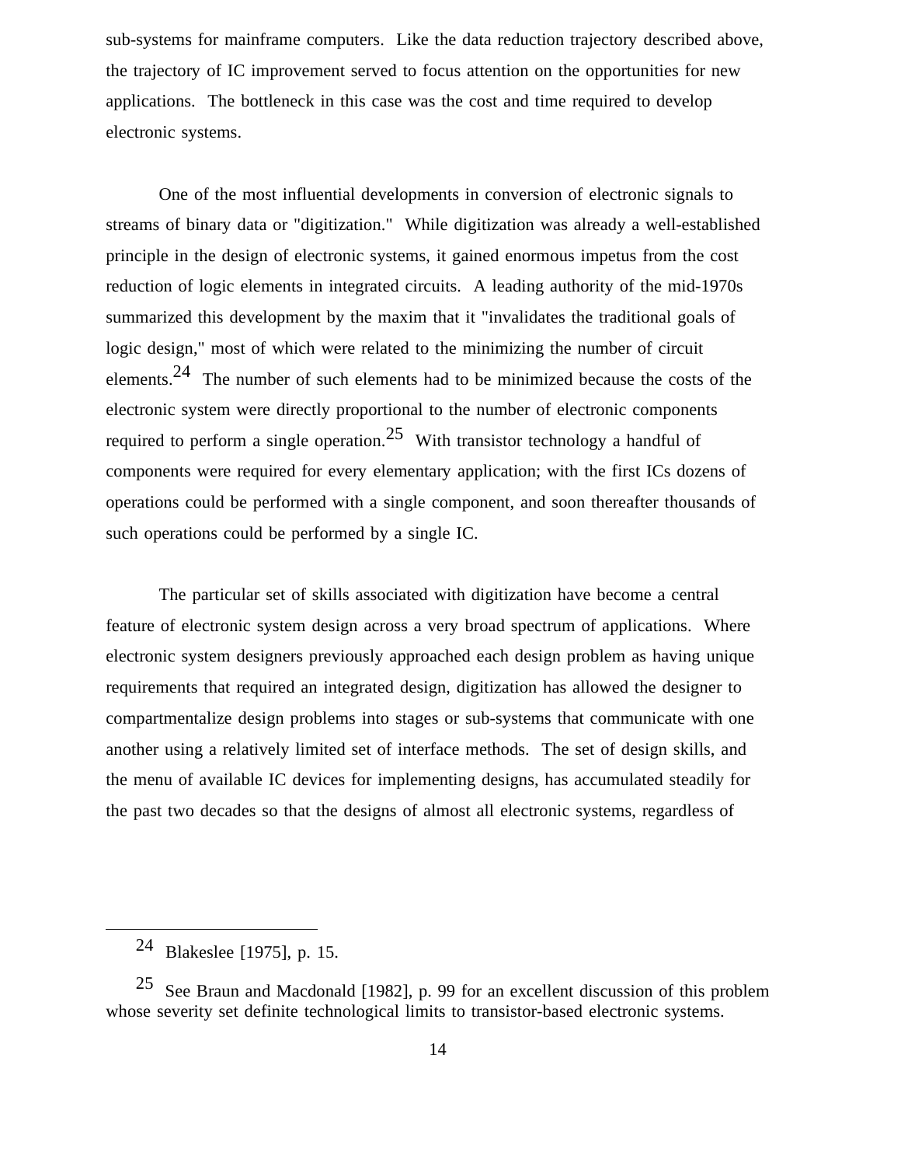sub-systems for mainframe computers. Like the data reduction trajectory described above, the trajectory of IC improvement served to focus attention on the opportunities for new applications. The bottleneck in this case was the cost and time required to develop electronic systems.

One of the most influential developments in conversion of electronic signals to streams of binary data or "digitization." While digitization was already a well-established principle in the design of electronic systems, it gained enormous impetus from the cost reduction of logic elements in integrated circuits. A leading authority of the mid-1970s summarized this development by the maxim that it "invalidates the traditional goals of logic design," most of which were related to the minimizing the number of circuit elements.24 The number of such elements had to be minimized because the costs of the electronic system were directly proportional to the number of electronic components required to perform a single operation.<sup>25</sup> With transistor technology a handful of components were required for every elementary application; with the first ICs dozens of operations could be performed with a single component, and soon thereafter thousands of such operations could be performed by a single IC.

The particular set of skills associated with digitization have become a central feature of electronic system design across a very broad spectrum of applications. Where electronic system designers previously approached each design problem as having unique requirements that required an integrated design, digitization has allowed the designer to compartmentalize design problems into stages or sub-systems that communicate with one another using a relatively limited set of interface methods. The set of design skills, and the menu of available IC devices for implementing designs, has accumulated steadily for the past two decades so that the designs of almost all electronic systems, regardless of

24 Blakeslee [1975], p. 15.

25 See Braun and Macdonald [1982], p. 99 for an excellent discussion of this problem whose severity set definite technological limits to transistor-based electronic systems.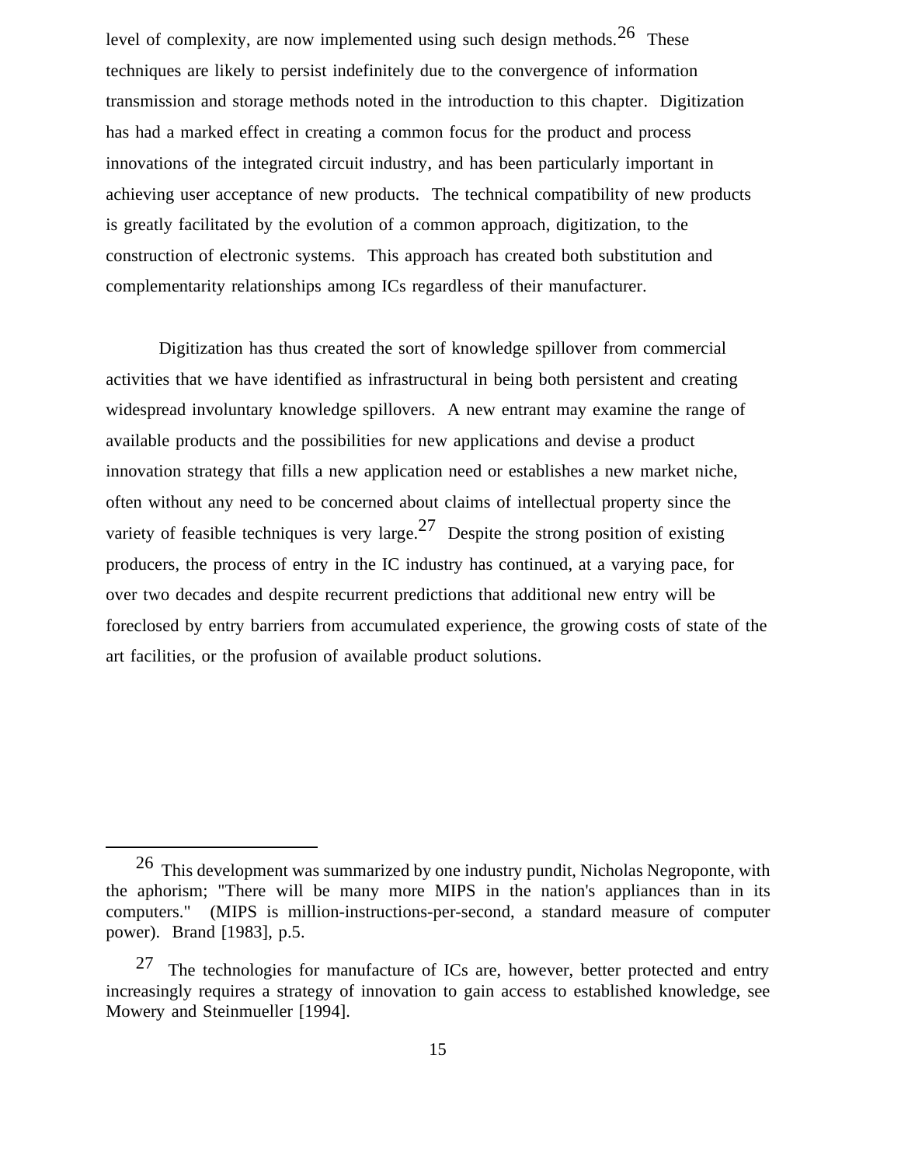level of complexity, are now implemented using such design methods. <sup>26</sup> These techniques are likely to persist indefinitely due to the convergence of information transmission and storage methods noted in the introduction to this chapter. Digitization has had a marked effect in creating a common focus for the product and process innovations of the integrated circuit industry, and has been particularly important in achieving user acceptance of new products. The technical compatibility of new products is greatly facilitated by the evolution of a common approach, digitization, to the construction of electronic systems. This approach has created both substitution and complementarity relationships among ICs regardless of their manufacturer.

Digitization has thus created the sort of knowledge spillover from commercial activities that we have identified as infrastructural in being both persistent and creating widespread involuntary knowledge spillovers. A new entrant may examine the range of available products and the possibilities for new applications and devise a product innovation strategy that fills a new application need or establishes a new market niche, often without any need to be concerned about claims of intellectual property since the variety of feasible techniques is very large.<sup>27</sup> Despite the strong position of existing producers, the process of entry in the IC industry has continued, at a varying pace, for over two decades and despite recurrent predictions that additional new entry will be foreclosed by entry barriers from accumulated experience, the growing costs of state of the art facilities, or the profusion of available product solutions.

26 This development was summarized by one industry pundit, Nicholas Negroponte, with the aphorism; "There will be many more MIPS in the nation's appliances than in its computers." (MIPS is million-instructions-per-second, a standard measure of computer power). Brand [1983], p.5.

 $27$  The technologies for manufacture of ICs are, however, better protected and entry increasingly requires a strategy of innovation to gain access to established knowledge, see Mowery and Steinmueller [1994].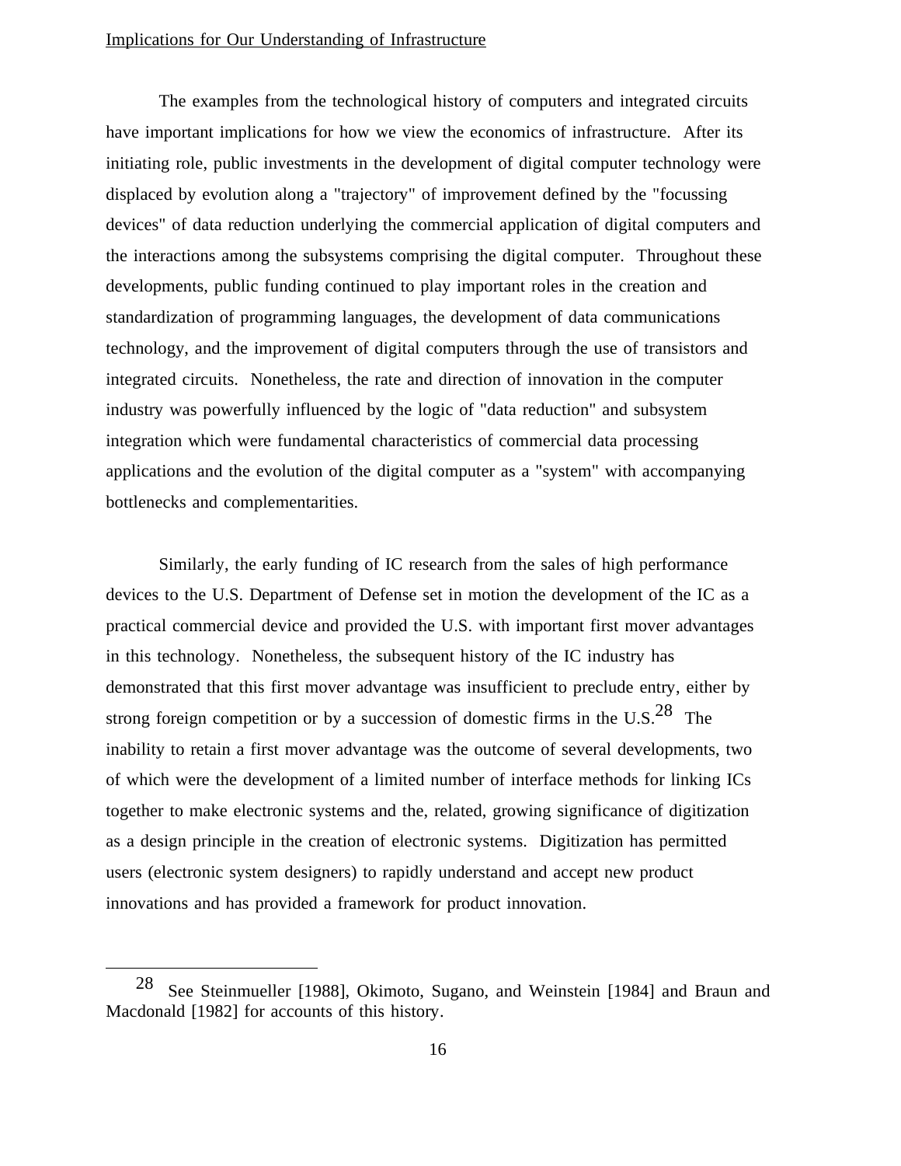### Implications for Our Understanding of Infrastructure

The examples from the technological history of computers and integrated circuits have important implications for how we view the economics of infrastructure. After its initiating role, public investments in the development of digital computer technology were displaced by evolution along a "trajectory" of improvement defined by the "focussing devices" of data reduction underlying the commercial application of digital computers and the interactions among the subsystems comprising the digital computer. Throughout these developments, public funding continued to play important roles in the creation and standardization of programming languages, the development of data communications technology, and the improvement of digital computers through the use of transistors and integrated circuits. Nonetheless, the rate and direction of innovation in the computer industry was powerfully influenced by the logic of "data reduction" and subsystem integration which were fundamental characteristics of commercial data processing applications and the evolution of the digital computer as a "system" with accompanying bottlenecks and complementarities.

Similarly, the early funding of IC research from the sales of high performance devices to the U.S. Department of Defense set in motion the development of the IC as a practical commercial device and provided the U.S. with important first mover advantages in this technology. Nonetheless, the subsequent history of the IC industry has demonstrated that this first mover advantage was insufficient to preclude entry, either by strong foreign competition or by a succession of domestic firms in the U.S.<sup>28</sup> The inability to retain a first mover advantage was the outcome of several developments, two of which were the development of a limited number of interface methods for linking ICs together to make electronic systems and the, related, growing significance of digitization as a design principle in the creation of electronic systems. Digitization has permitted users (electronic system designers) to rapidly understand and accept new product innovations and has provided a framework for product innovation.

28 See Steinmueller [1988], Okimoto, Sugano, and Weinstein [1984] and Braun and Macdonald [1982] for accounts of this history.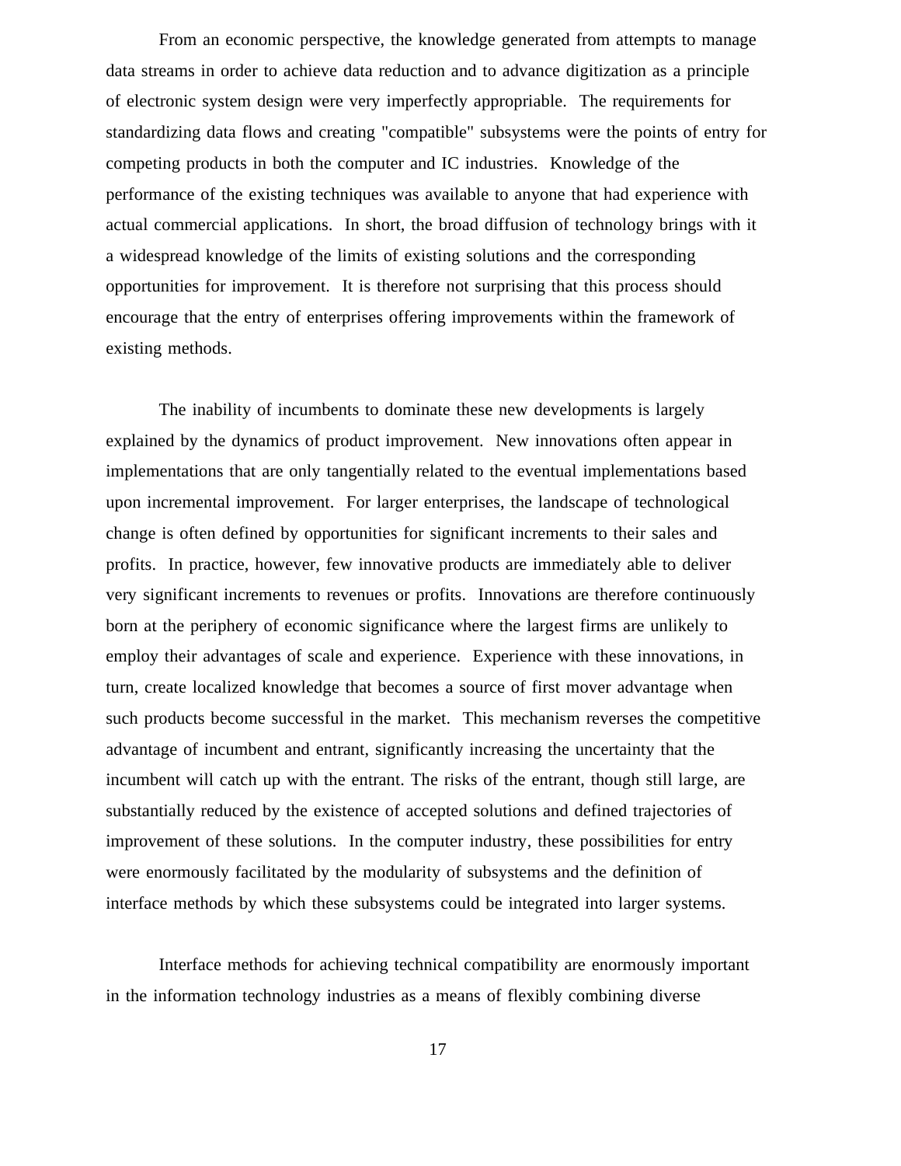From an economic perspective, the knowledge generated from attempts to manage data streams in order to achieve data reduction and to advance digitization as a principle of electronic system design were very imperfectly appropriable. The requirements for standardizing data flows and creating "compatible" subsystems were the points of entry for competing products in both the computer and IC industries. Knowledge of the performance of the existing techniques was available to anyone that had experience with actual commercial applications. In short, the broad diffusion of technology brings with it a widespread knowledge of the limits of existing solutions and the corresponding opportunities for improvement. It is therefore not surprising that this process should encourage that the entry of enterprises offering improvements within the framework of existing methods.

The inability of incumbents to dominate these new developments is largely explained by the dynamics of product improvement. New innovations often appear in implementations that are only tangentially related to the eventual implementations based upon incremental improvement. For larger enterprises, the landscape of technological change is often defined by opportunities for significant increments to their sales and profits. In practice, however, few innovative products are immediately able to deliver very significant increments to revenues or profits. Innovations are therefore continuously born at the periphery of economic significance where the largest firms are unlikely to employ their advantages of scale and experience. Experience with these innovations, in turn, create localized knowledge that becomes a source of first mover advantage when such products become successful in the market. This mechanism reverses the competitive advantage of incumbent and entrant, significantly increasing the uncertainty that the incumbent will catch up with the entrant. The risks of the entrant, though still large, are substantially reduced by the existence of accepted solutions and defined trajectories of improvement of these solutions. In the computer industry, these possibilities for entry were enormously facilitated by the modularity of subsystems and the definition of interface methods by which these subsystems could be integrated into larger systems.

Interface methods for achieving technical compatibility are enormously important in the information technology industries as a means of flexibly combining diverse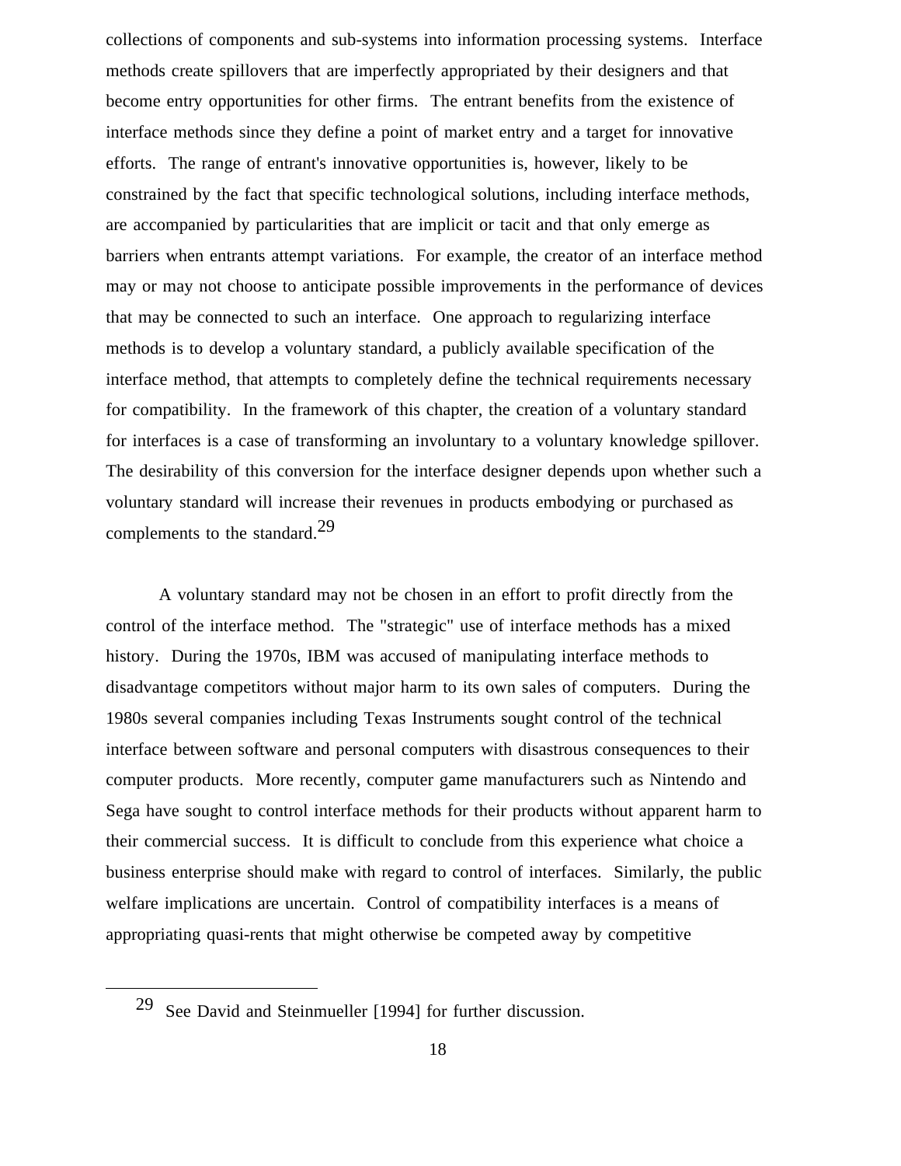collections of components and sub-systems into information processing systems. Interface methods create spillovers that are imperfectly appropriated by their designers and that become entry opportunities for other firms. The entrant benefits from the existence of interface methods since they define a point of market entry and a target for innovative efforts. The range of entrant's innovative opportunities is, however, likely to be constrained by the fact that specific technological solutions, including interface methods, are accompanied by particularities that are implicit or tacit and that only emerge as barriers when entrants attempt variations. For example, the creator of an interface method may or may not choose to anticipate possible improvements in the performance of devices that may be connected to such an interface. One approach to regularizing interface methods is to develop a voluntary standard, a publicly available specification of the interface method, that attempts to completely define the technical requirements necessary for compatibility. In the framework of this chapter, the creation of a voluntary standard for interfaces is a case of transforming an involuntary to a voluntary knowledge spillover. The desirability of this conversion for the interface designer depends upon whether such a voluntary standard will increase their revenues in products embodying or purchased as complements to the standard.<sup>29</sup>

A voluntary standard may not be chosen in an effort to profit directly from the control of the interface method. The "strategic" use of interface methods has a mixed history. During the 1970s, IBM was accused of manipulating interface methods to disadvantage competitors without major harm to its own sales of computers. During the 1980s several companies including Texas Instruments sought control of the technical interface between software and personal computers with disastrous consequences to their computer products. More recently, computer game manufacturers such as Nintendo and Sega have sought to control interface methods for their products without apparent harm to their commercial success. It is difficult to conclude from this experience what choice a business enterprise should make with regard to control of interfaces. Similarly, the public welfare implications are uncertain. Control of compatibility interfaces is a means of appropriating quasi-rents that might otherwise be competed away by competitive

29 See David and Steinmueller [1994] for further discussion.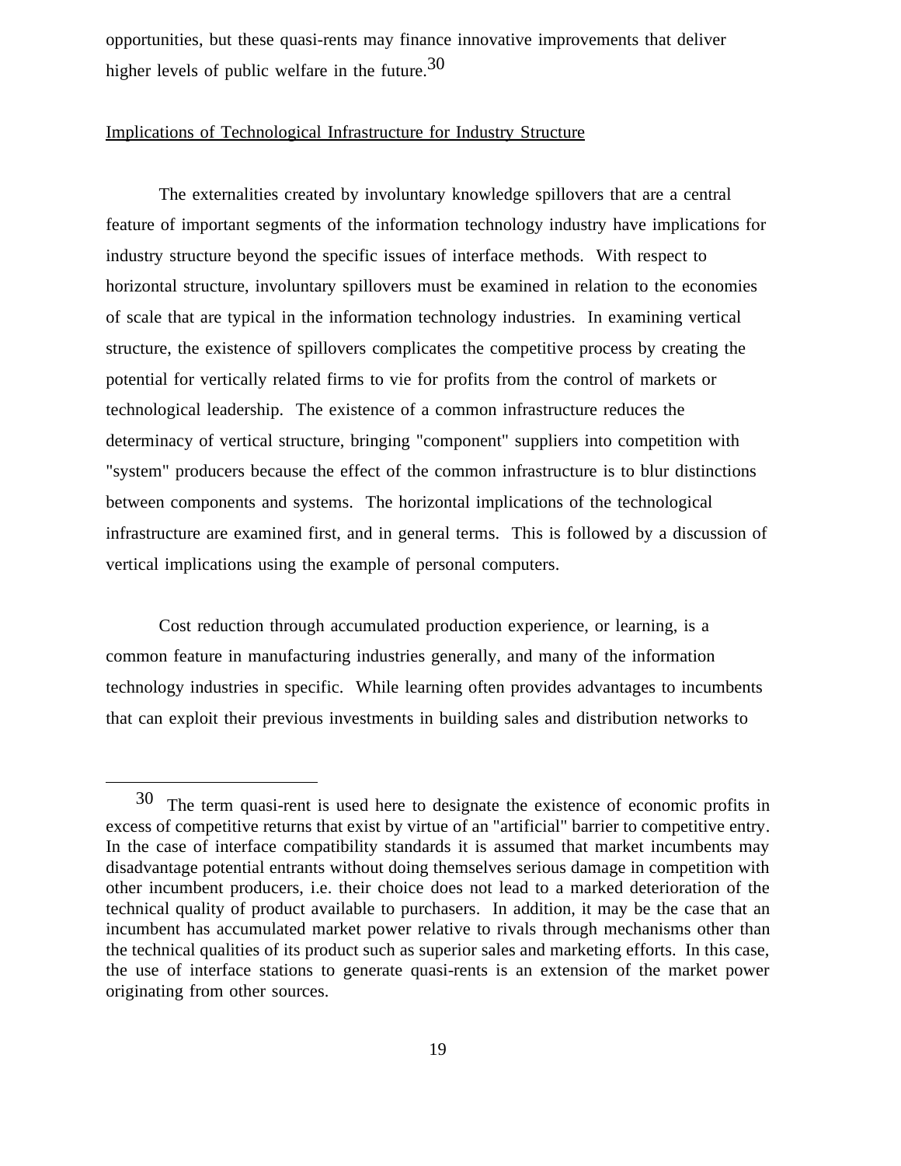opportunities, but these quasi-rents may finance innovative improvements that deliver higher levels of public welfare in the future.30

### Implications of Technological Infrastructure for Industry Structure

The externalities created by involuntary knowledge spillovers that are a central feature of important segments of the information technology industry have implications for industry structure beyond the specific issues of interface methods. With respect to horizontal structure, involuntary spillovers must be examined in relation to the economies of scale that are typical in the information technology industries. In examining vertical structure, the existence of spillovers complicates the competitive process by creating the potential for vertically related firms to vie for profits from the control of markets or technological leadership. The existence of a common infrastructure reduces the determinacy of vertical structure, bringing "component" suppliers into competition with "system" producers because the effect of the common infrastructure is to blur distinctions between components and systems. The horizontal implications of the technological infrastructure are examined first, and in general terms. This is followed by a discussion of vertical implications using the example of personal computers.

Cost reduction through accumulated production experience, or learning, is a common feature in manufacturing industries generally, and many of the information technology industries in specific. While learning often provides advantages to incumbents that can exploit their previous investments in building sales and distribution networks to

30 The term quasi-rent is used here to designate the existence of economic profits in excess of competitive returns that exist by virtue of an "artificial" barrier to competitive entry. In the case of interface compatibility standards it is assumed that market incumbents may disadvantage potential entrants without doing themselves serious damage in competition with other incumbent producers, i.e. their choice does not lead to a marked deterioration of the technical quality of product available to purchasers. In addition, it may be the case that an incumbent has accumulated market power relative to rivals through mechanisms other than the technical qualities of its product such as superior sales and marketing efforts. In this case, the use of interface stations to generate quasi-rents is an extension of the market power originating from other sources.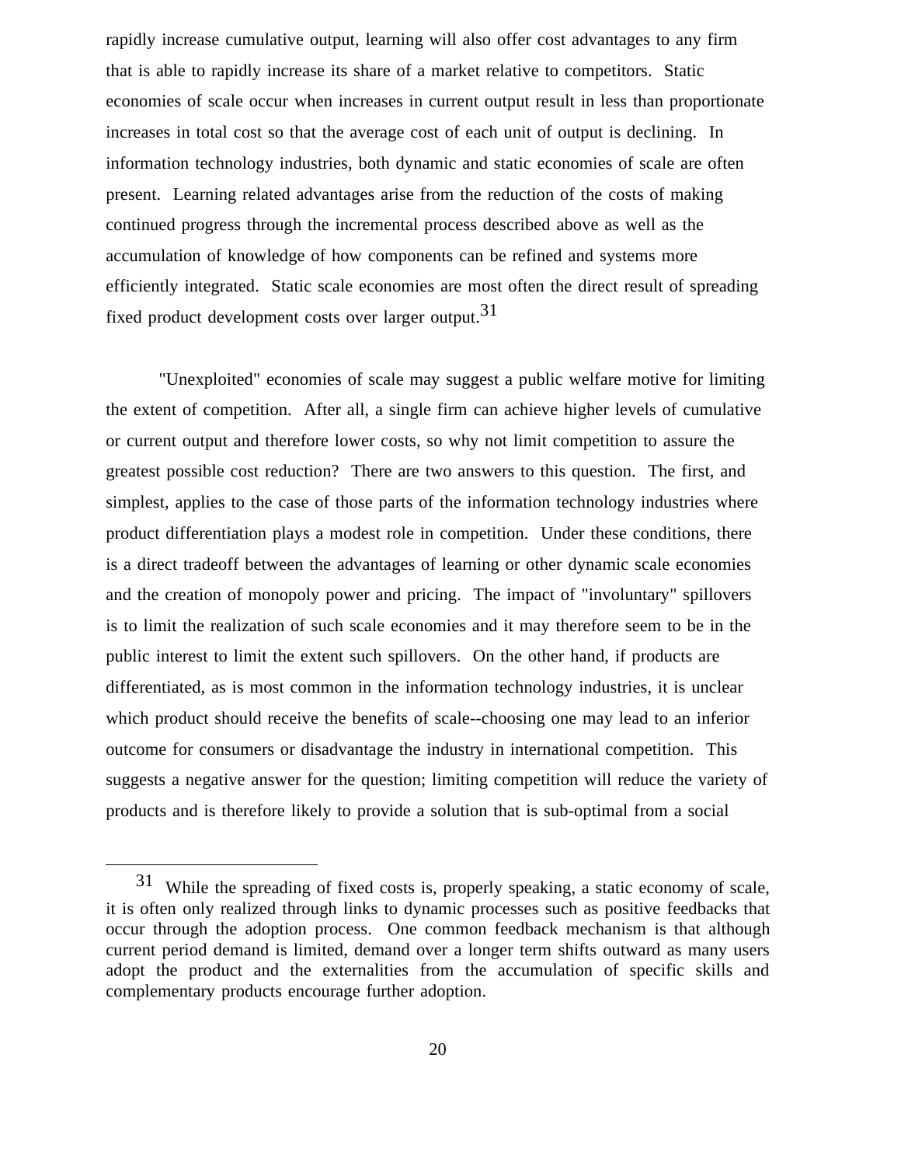rapidly increase cumulative output, learning will also offer cost advantages to any firm that is able to rapidly increase its share of a market relative to competitors. Static economies of scale occur when increases in current output result in less than proportionate increases in total cost so that the average cost of each unit of output is declining. In information technology industries, both dynamic and static economies of scale are often present. Learning related advantages arise from the reduction of the costs of making continued progress through the incremental process described above as well as the accumulation of knowledge of how components can be refined and systems more efficiently integrated. Static scale economies are most often the direct result of spreading fixed product development costs over larger output.<sup>31</sup>

"Unexploited" economies of scale may suggest a public welfare motive for limiting the extent of competition. After all, a single firm can achieve higher levels of cumulative or current output and therefore lower costs, so why not limit competition to assure the greatest possible cost reduction? There are two answers to this question. The first, and simplest, applies to the case of those parts of the information technology industries where product differentiation plays a modest role in competition. Under these conditions, there is a direct tradeoff between the advantages of learning or other dynamic scale economies and the creation of monopoly power and pricing. The impact of "involuntary" spillovers is to limit the realization of such scale economies and it may therefore seem to be in the public interest to limit the extent such spillovers. On the other hand, if products are differentiated, as is most common in the information technology industries, it is unclear which product should receive the benefits of scale--choosing one may lead to an inferior outcome for consumers or disadvantage the industry in international competition. This suggests a negative answer for the question; limiting competition will reduce the variety of products and is therefore likely to provide a solution that is sub-optimal from a social

31 While the spreading of fixed costs is, properly speaking, a static economy of scale, it is often only realized through links to dynamic processes such as positive feedbacks that occur through the adoption process. One common feedback mechanism is that although current period demand is limited, demand over a longer term shifts outward as many users adopt the product and the externalities from the accumulation of specific skills and complementary products encourage further adoption.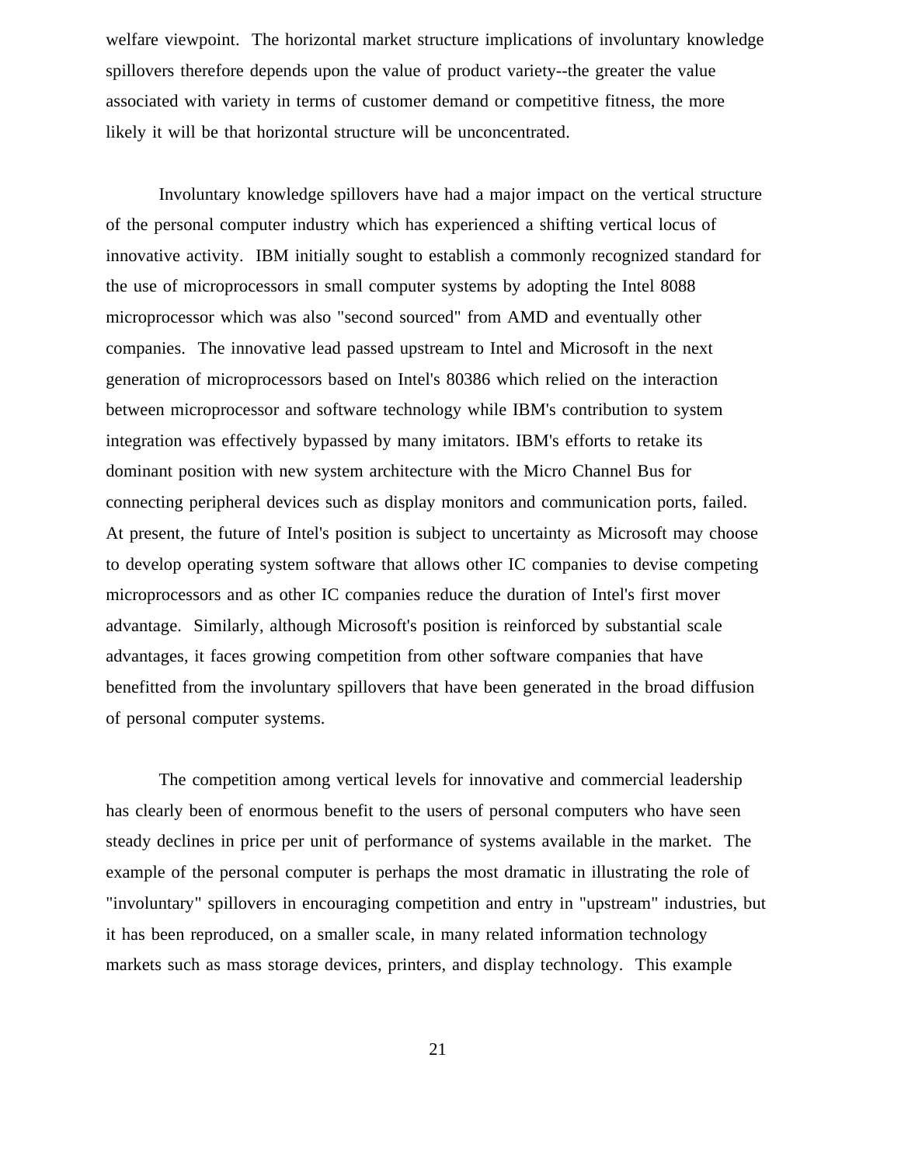welfare viewpoint. The horizontal market structure implications of involuntary knowledge spillovers therefore depends upon the value of product variety--the greater the value associated with variety in terms of customer demand or competitive fitness, the more likely it will be that horizontal structure will be unconcentrated.

Involuntary knowledge spillovers have had a major impact on the vertical structure of the personal computer industry which has experienced a shifting vertical locus of innovative activity. IBM initially sought to establish a commonly recognized standard for the use of microprocessors in small computer systems by adopting the Intel 8088 microprocessor which was also "second sourced" from AMD and eventually other companies. The innovative lead passed upstream to Intel and Microsoft in the next generation of microprocessors based on Intel's 80386 which relied on the interaction between microprocessor and software technology while IBM's contribution to system integration was effectively bypassed by many imitators. IBM's efforts to retake its dominant position with new system architecture with the Micro Channel Bus for connecting peripheral devices such as display monitors and communication ports, failed. At present, the future of Intel's position is subject to uncertainty as Microsoft may choose to develop operating system software that allows other IC companies to devise competing microprocessors and as other IC companies reduce the duration of Intel's first mover advantage. Similarly, although Microsoft's position is reinforced by substantial scale advantages, it faces growing competition from other software companies that have benefitted from the involuntary spillovers that have been generated in the broad diffusion of personal computer systems.

The competition among vertical levels for innovative and commercial leadership has clearly been of enormous benefit to the users of personal computers who have seen steady declines in price per unit of performance of systems available in the market. The example of the personal computer is perhaps the most dramatic in illustrating the role of "involuntary" spillovers in encouraging competition and entry in "upstream" industries, but it has been reproduced, on a smaller scale, in many related information technology markets such as mass storage devices, printers, and display technology. This example

21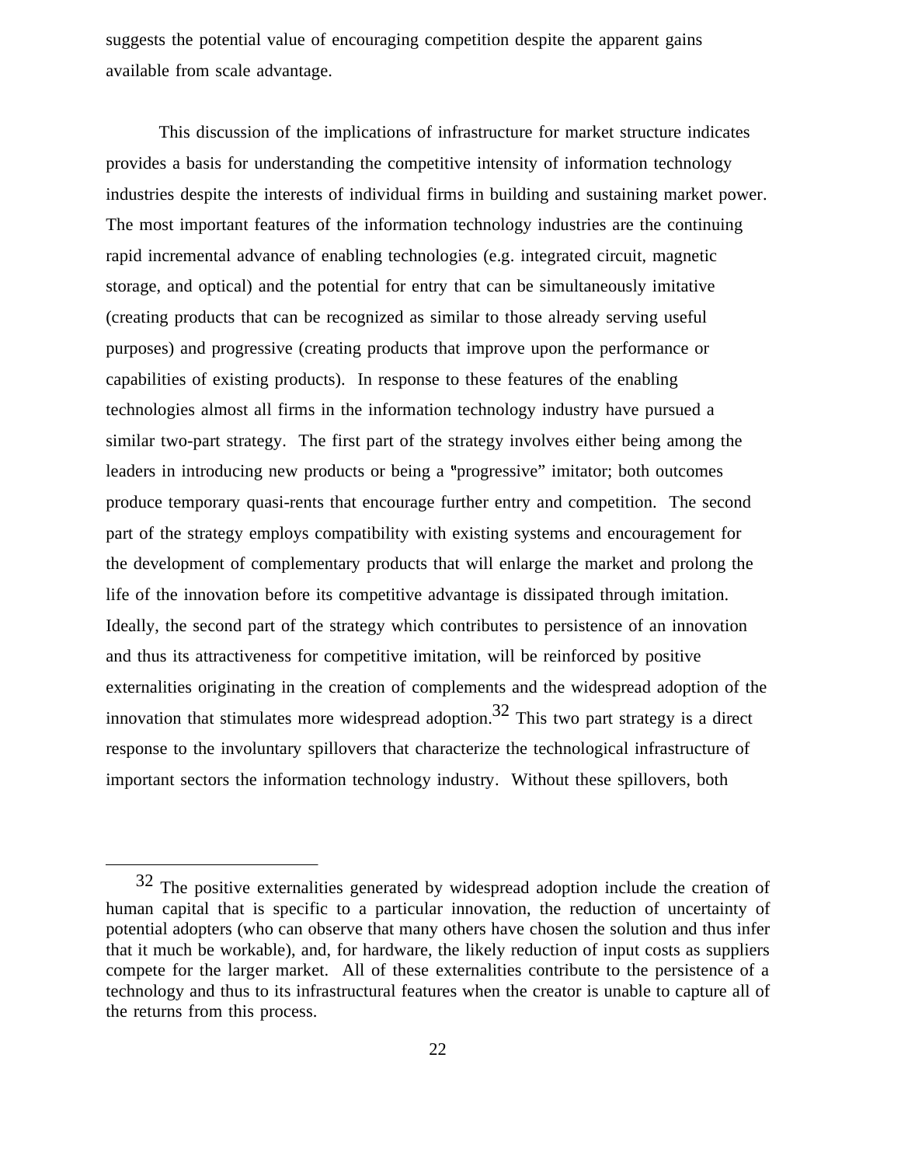suggests the potential value of encouraging competition despite the apparent gains available from scale advantage.

This discussion of the implications of infrastructure for market structure indicates provides a basis for understanding the competitive intensity of information technology industries despite the interests of individual firms in building and sustaining market power. The most important features of the information technology industries are the continuing rapid incremental advance of enabling technologies (e.g. integrated circuit, magnetic storage, and optical) and the potential for entry that can be simultaneously imitative (creating products that can be recognized as similar to those already serving useful purposes) and progressive (creating products that improve upon the performance or capabilities of existing products). In response to these features of the enabling technologies almost all firms in the information technology industry have pursued a similar two-part strategy. The first part of the strategy involves either being among the leaders in introducing new products or being a "progressive" imitator; both outcomes produce temporary quasi-rents that encourage further entry and competition. The second part of the strategy employs compatibility with existing systems and encouragement for the development of complementary products that will enlarge the market and prolong the life of the innovation before its competitive advantage is dissipated through imitation. Ideally, the second part of the strategy which contributes to persistence of an innovation and thus its attractiveness for competitive imitation, will be reinforced by positive externalities originating in the creation of complements and the widespread adoption of the innovation that stimulates more widespread adoption.<sup>32</sup> This two part strategy is a direct response to the involuntary spillovers that characterize the technological infrastructure of important sectors the information technology industry. Without these spillovers, both

 $32$  The positive externalities generated by widespread adoption include the creation of human capital that is specific to a particular innovation, the reduction of uncertainty of potential adopters (who can observe that many others have chosen the solution and thus infer that it much be workable), and, for hardware, the likely reduction of input costs as suppliers compete for the larger market. All of these externalities contribute to the persistence of a technology and thus to its infrastructural features when the creator is unable to capture all of the returns from this process.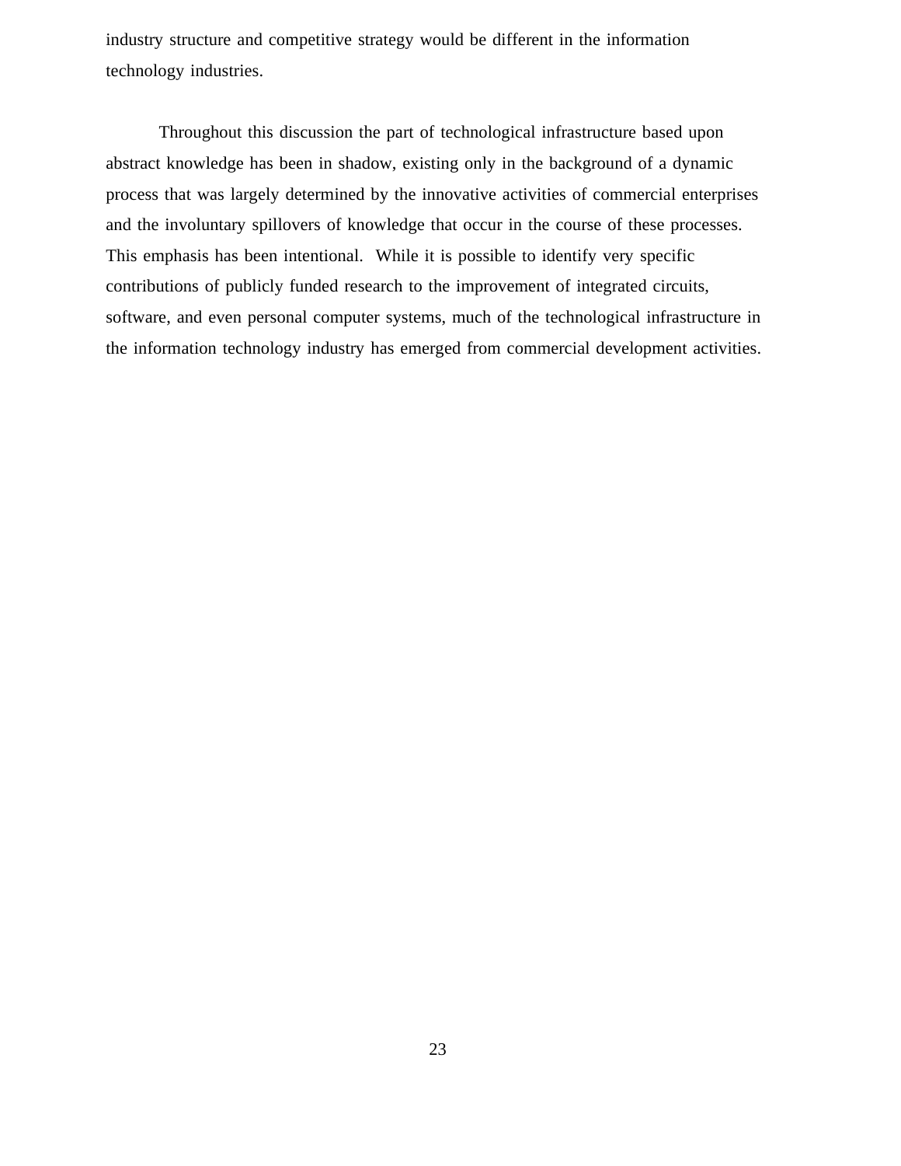industry structure and competitive strategy would be different in the information technology industries.

Throughout this discussion the part of technological infrastructure based upon abstract knowledge has been in shadow, existing only in the background of a dynamic process that was largely determined by the innovative activities of commercial enterprises and the involuntary spillovers of knowledge that occur in the course of these processes. This emphasis has been intentional. While it is possible to identify very specific contributions of publicly funded research to the improvement of integrated circuits, software, and even personal computer systems, much of the technological infrastructure in the information technology industry has emerged from commercial development activities.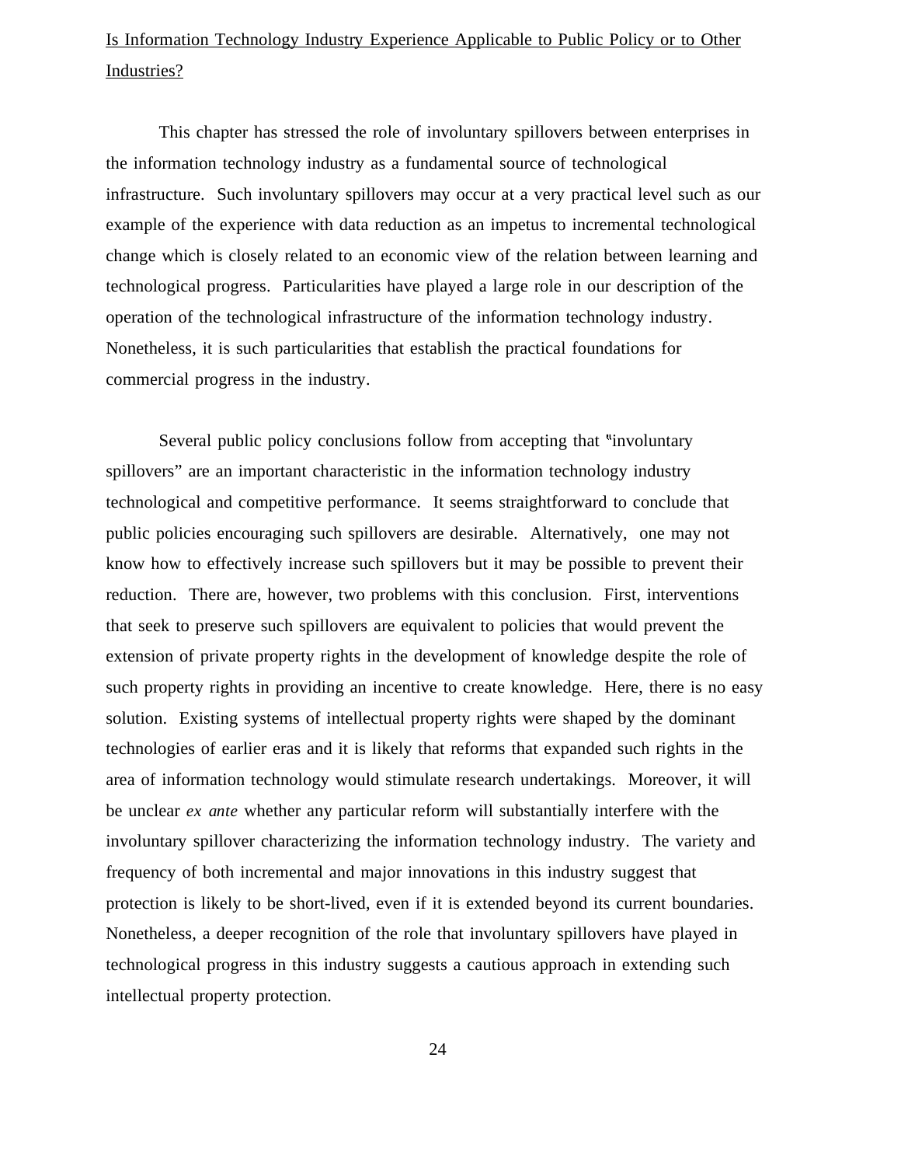## Is Information Technology Industry Experience Applicable to Public Policy or to Other Industries?

This chapter has stressed the role of involuntary spillovers between enterprises in the information technology industry as a fundamental source of technological infrastructure. Such involuntary spillovers may occur at a very practical level such as our example of the experience with data reduction as an impetus to incremental technological change which is closely related to an economic view of the relation between learning and technological progress. Particularities have played a large role in our description of the operation of the technological infrastructure of the information technology industry. Nonetheless, it is such particularities that establish the practical foundations for commercial progress in the industry.

Several public policy conclusions follow from accepting that "involuntary" spillovers" are an important characteristic in the information technology industry technological and competitive performance. It seems straightforward to conclude that public policies encouraging such spillovers are desirable. Alternatively, one may not know how to effectively increase such spillovers but it may be possible to prevent their reduction. There are, however, two problems with this conclusion. First, interventions that seek to preserve such spillovers are equivalent to policies that would prevent the extension of private property rights in the development of knowledge despite the role of such property rights in providing an incentive to create knowledge. Here, there is no easy solution. Existing systems of intellectual property rights were shaped by the dominant technologies of earlier eras and it is likely that reforms that expanded such rights in the area of information technology would stimulate research undertakings. Moreover, it will be unclear *ex ante* whether any particular reform will substantially interfere with the involuntary spillover characterizing the information technology industry. The variety and frequency of both incremental and major innovations in this industry suggest that protection is likely to be short-lived, even if it is extended beyond its current boundaries. Nonetheless, a deeper recognition of the role that involuntary spillovers have played in technological progress in this industry suggests a cautious approach in extending such intellectual property protection.

24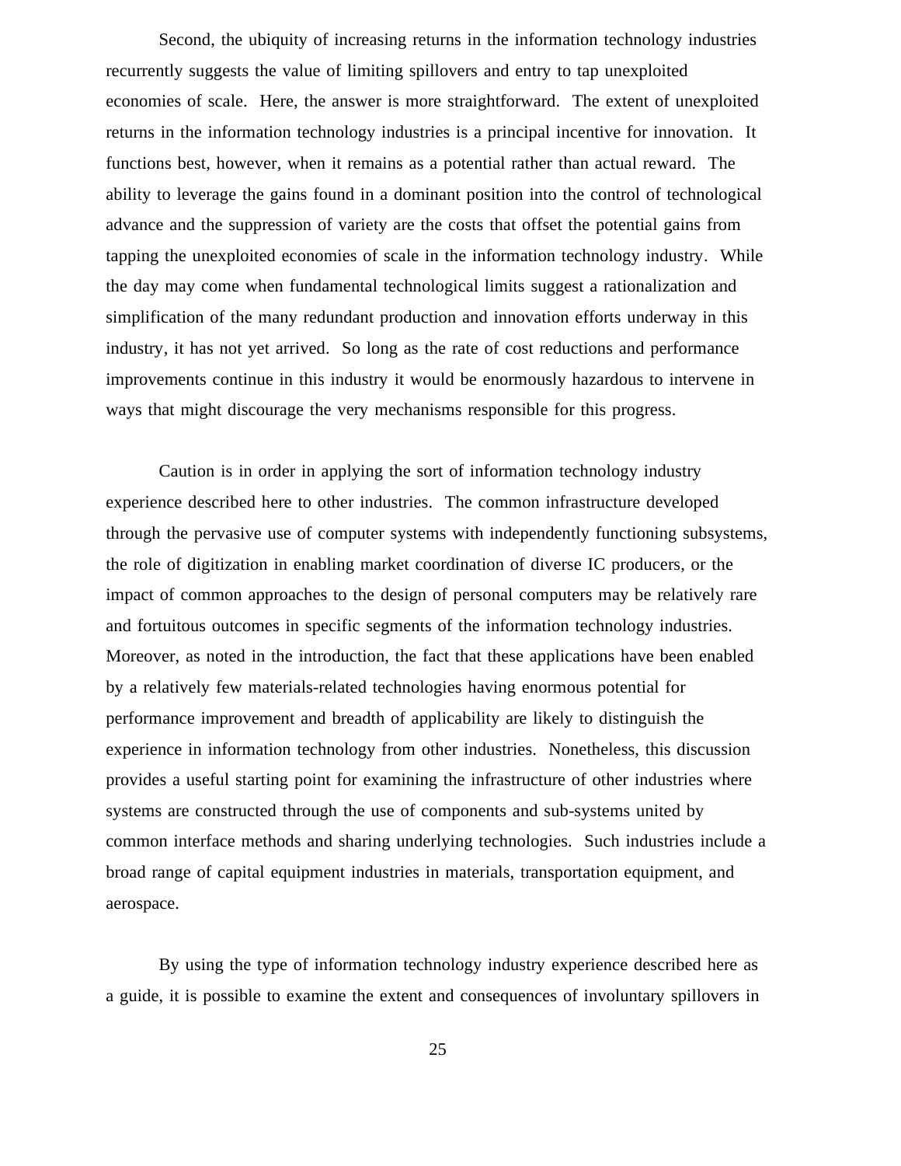Second, the ubiquity of increasing returns in the information technology industries recurrently suggests the value of limiting spillovers and entry to tap unexploited economies of scale. Here, the answer is more straightforward. The extent of unexploited returns in the information technology industries is a principal incentive for innovation. It functions best, however, when it remains as a potential rather than actual reward. The ability to leverage the gains found in a dominant position into the control of technological advance and the suppression of variety are the costs that offset the potential gains from tapping the unexploited economies of scale in the information technology industry. While the day may come when fundamental technological limits suggest a rationalization and simplification of the many redundant production and innovation efforts underway in this industry, it has not yet arrived. So long as the rate of cost reductions and performance improvements continue in this industry it would be enormously hazardous to intervene in ways that might discourage the very mechanisms responsible for this progress.

Caution is in order in applying the sort of information technology industry experience described here to other industries. The common infrastructure developed through the pervasive use of computer systems with independently functioning subsystems, the role of digitization in enabling market coordination of diverse IC producers, or the impact of common approaches to the design of personal computers may be relatively rare and fortuitous outcomes in specific segments of the information technology industries. Moreover, as noted in the introduction, the fact that these applications have been enabled by a relatively few materials-related technologies having enormous potential for performance improvement and breadth of applicability are likely to distinguish the experience in information technology from other industries. Nonetheless, this discussion provides a useful starting point for examining the infrastructure of other industries where systems are constructed through the use of components and sub-systems united by common interface methods and sharing underlying technologies. Such industries include a broad range of capital equipment industries in materials, transportation equipment, and aerospace.

By using the type of information technology industry experience described here as a guide, it is possible to examine the extent and consequences of involuntary spillovers in

25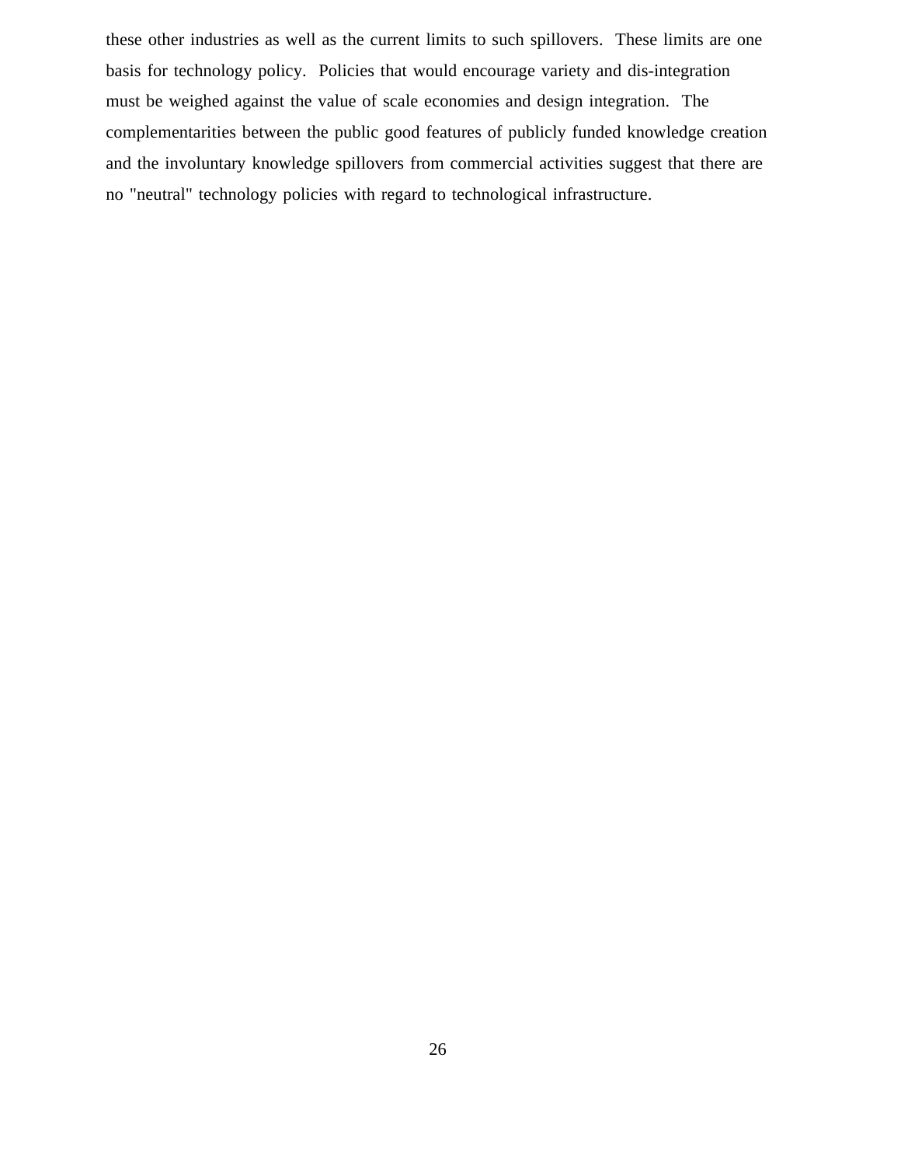these other industries as well as the current limits to such spillovers. These limits are one basis for technology policy. Policies that would encourage variety and dis-integration must be weighed against the value of scale economies and design integration. The complementarities between the public good features of publicly funded knowledge creation and the involuntary knowledge spillovers from commercial activities suggest that there are no "neutral" technology policies with regard to technological infrastructure.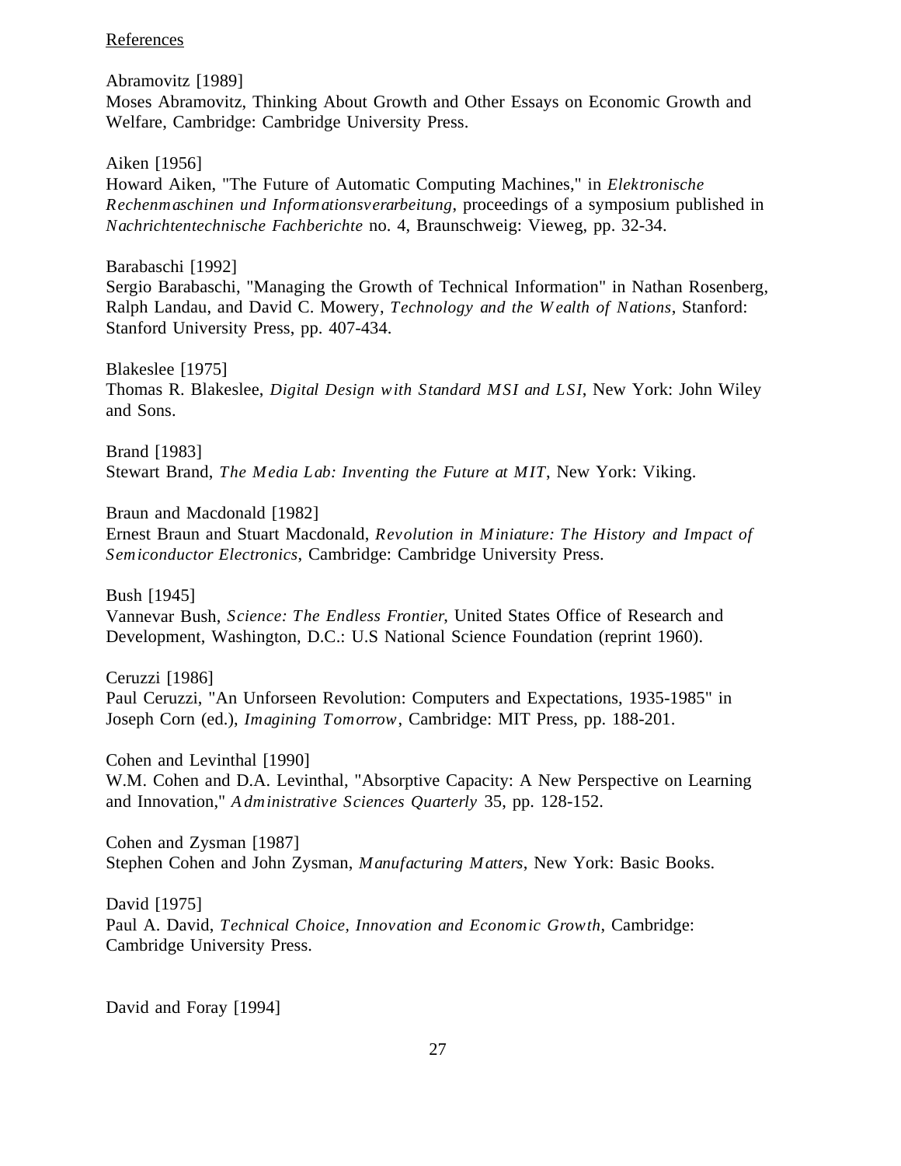## **References**

Abramovitz [1989] Moses Abramovitz, Thinking About Growth and Other Essays on Economic Growth and Welfare, Cambridge: Cambridge University Press.

Aiken [1956]

Howard Aiken, "The Future of Automatic Computing Machines," in *Elektronische Rechenmaschinen und Informationsverarbeitung*, proceedings of a symposium published in *Nachrichtentechnische Fachberichte* no. 4, Braunschweig: Vieweg, pp. 32-34.

Barabaschi [1992] Sergio Barabaschi, "Managing the Growth of Technical Information" in Nathan Rosenberg, Ralph Landau, and David C. Mowery, *Technology and the W ealth of Nations*, Stanford: Stanford University Press, pp. 407-434.

Blakeslee [1975] Thomas R. Blakeslee, *Digital Design with Standard MSI and LSI*, New York: John Wiley and Sons.

Brand [1983] Stewart Brand, *The Media Lab: Inventing the Future at MIT*, New York: Viking.

Braun and Macdonald [1982] Ernest Braun and Stuart Macdonald, *Revolution in Miniature: The History and Impact of Semiconductor Electronics*, Cambridge: Cambridge University Press.

Bush [1945] Vannevar Bush, *Science: The Endless Frontier*, United States Office of Research and Development, Washington, D.C.: U.S National Science Foundation (reprint 1960).

Ceruzzi [1986] Paul Ceruzzi, "An Unforseen Revolution: Computers and Expectations, 1935-1985" in Joseph Corn (ed.), *Imagining Tomorrow*, Cambridge: MIT Press, pp. 188-201.

Cohen and Levinthal [1990] W.M. Cohen and D.A. Levinthal, "Absorptive Capacity: A New Perspective on Learning and Innovation," *A dministrative Sciences Quarterly* 35, pp. 128-152.

Cohen and Zysman [1987] Stephen Cohen and John Zysman, *Manufacturing Matters*, New York: Basic Books.

David [1975] Paul A. David, *Technical Choice, Innovation and Economic Growth*, Cambridge: Cambridge University Press.

David and Foray [1994]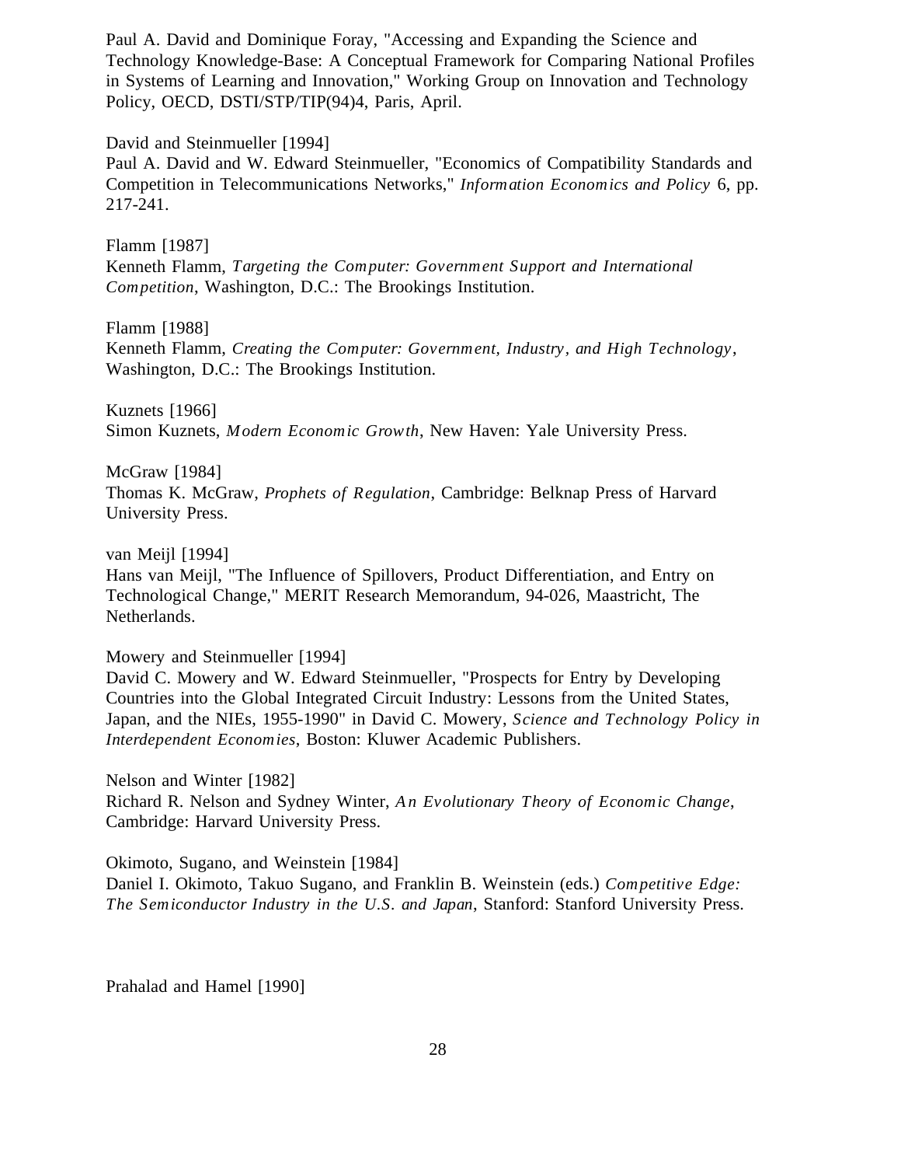Paul A. David and Dominique Foray, "Accessing and Expanding the Science and Technology Knowledge-Base: A Conceptual Framework for Comparing National Profiles in Systems of Learning and Innovation," Working Group on Innovation and Technology Policy, OECD, DSTI/STP/TIP(94)4, Paris, April.

David and Steinmueller [1994] Paul A. David and W. Edward Steinmueller, "Economics of Compatibility Standards and Competition in Telecommunications Networks," *Information Economics and Policy* 6, pp. 217-241.

Flamm [1987]

Kenneth Flamm, *Targeting the Computer: Government Support and International Competition*, Washington, D.C.: The Brookings Institution.

Flamm [1988]

Kenneth Flamm, *Creating the Computer: Government, Industry, and High Technology*, Washington, D.C.: The Brookings Institution.

Kuznets [1966] Simon Kuznets, *Modern Economic Growth*, New Haven: Yale University Press.

McGraw [1984] Thomas K. McGraw, *Prophets of Regulation*, Cambridge: Belknap Press of Harvard University Press.

van Meijl [1994]

Hans van Meijl, "The Influence of Spillovers, Product Differentiation, and Entry on Technological Change," MERIT Research Memorandum, 94-026, Maastricht, The Netherlands.

Mowery and Steinmueller [1994]

David C. Mowery and W. Edward Steinmueller, "Prospects for Entry by Developing Countries into the Global Integrated Circuit Industry: Lessons from the United States, Japan, and the NIEs, 1955-1990" in David C. Mowery, *Science and Technology Policy in Interdependent Economies*, Boston: Kluwer Academic Publishers.

Nelson and Winter [1982] Richard R. Nelson and Sydney Winter, *A n Evolutionary Theory of Economic Change*, Cambridge: Harvard University Press.

Okimoto, Sugano, and Weinstein [1984]

Daniel I. Okimoto, Takuo Sugano, and Franklin B. Weinstein (eds.) *Competitive Edge: The Semiconductor Industry in the U.S. and Japan*, Stanford: Stanford University Press.

Prahalad and Hamel [1990]